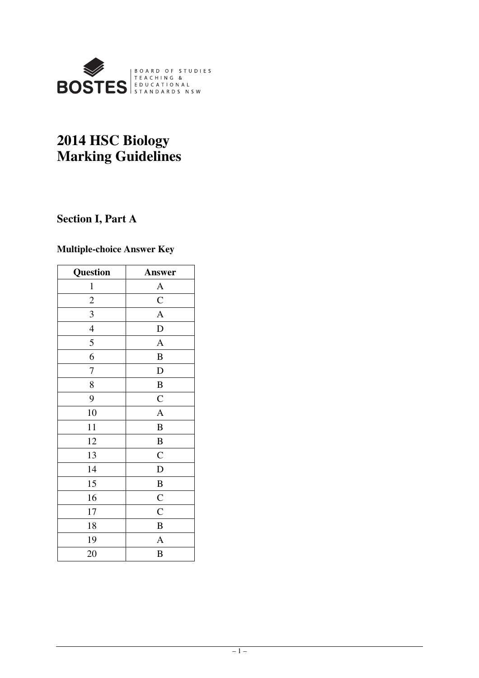

## **2014 HSC Biology Marking Guidelines**

## **Section I, Part A**

## **Multiple-choice Answer Key**

| Question       | <b>Answer</b>    |
|----------------|------------------|
| $\mathbf{1}$   | $\mathbf{A}$     |
| $\overline{c}$ | $\overline{C}$   |
| 3              | $\overline{A}$   |
| $\overline{4}$ | $\overline{D}$   |
| 5              | $\overline{A}$   |
| 6              | $\bf{B}$         |
| 7              | D                |
| 8              | $\boldsymbol{B}$ |
| 9              | $\overline{C}$   |
| 10             | $\overline{A}$   |
| 11             | $\bf{B}$         |
| 12             | $\, {\bf B}$     |
| 13             | $\mathbf C$      |
| 14             | $\overline{D}$   |
| 15             | $\, {\bf B}$     |
| 16             | $\mathbf{C}$     |
| 17             | $\overline{C}$   |
| 18             | $\bf{B}$         |
| 19             | $\mathbf{A}$     |
| 20             | B                |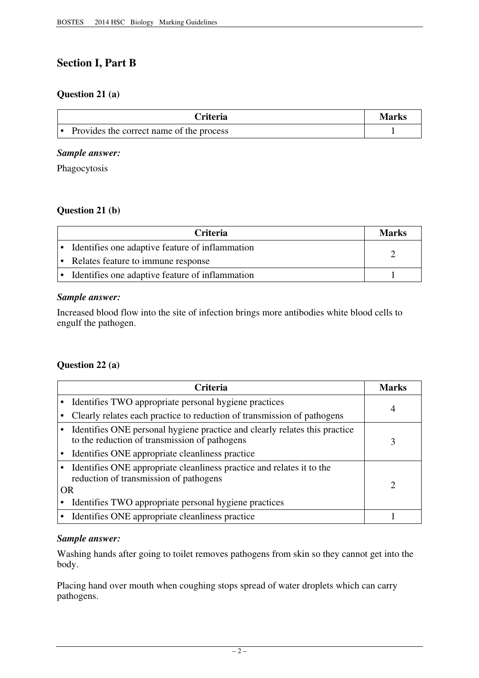## **Section I, Part B**

## **Question 21 (a)**

| Criteria                                 | <b>Marks</b> |
|------------------------------------------|--------------|
| Provides the correct name of the process |              |

#### *Sample answer:*

Phagocytosis

## **Question 21 (b)**

| <b>Criteria</b>                                   | <b>Marks</b> |
|---------------------------------------------------|--------------|
| • Identifies one adaptive feature of inflammation |              |
| • Relates feature to immune response              |              |
| • Identifies one adaptive feature of inflammation |              |

#### *Sample answer:*

Increased blood flow into the site of infection brings more antibodies white blood cells to engulf the pathogen.

#### **Question 22 (a)**

| <b>Criteria</b>                                                                                                             | Marks |
|-----------------------------------------------------------------------------------------------------------------------------|-------|
| Identifies TWO appropriate personal hygiene practices                                                                       |       |
| Clearly relates each practice to reduction of transmission of pathogens                                                     | 4     |
| Identifies ONE personal hygiene practice and clearly relates this practice<br>to the reduction of transmission of pathogens |       |
| Identifies ONE appropriate cleanliness practice                                                                             |       |
| Identifies ONE appropriate cleanliness practice and relates it to the<br>reduction of transmission of pathogens             | ാ     |
| OR                                                                                                                          |       |
| Identifies TWO appropriate personal hygiene practices                                                                       |       |
| Identifies ONE appropriate cleanliness practice                                                                             |       |

#### *Sample answer:*

Washing hands after going to toilet removes pathogens from skin so they cannot get into the body.

Placing hand over mouth when coughing stops spread of water droplets which can carry pathogens.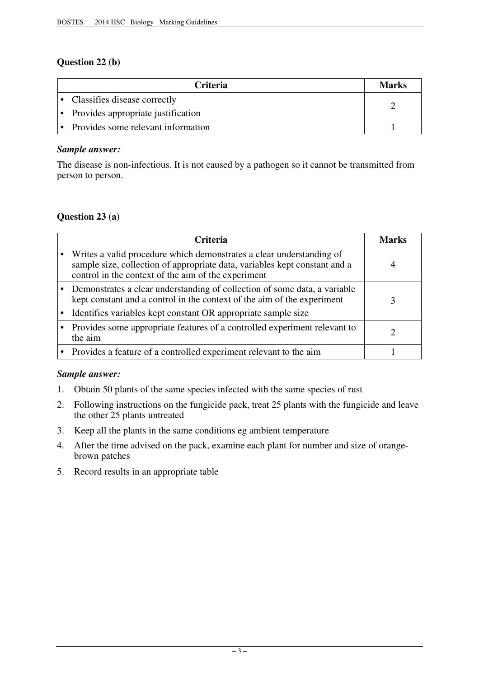## **Question 22 (b)**

| <b>Criteria</b>                      | Marks |
|--------------------------------------|-------|
| • Classifies disease correctly       |       |
| • Provides appropriate justification |       |
| • Provides some relevant information |       |

#### *Sample answer:*

The disease is non-infectious. It is not caused by a pathogen so it cannot be transmitted from person to person.

## **Question 23 (a)**

| <b>Criteria</b>                                                                                                                                                                                                       | Marks |
|-----------------------------------------------------------------------------------------------------------------------------------------------------------------------------------------------------------------------|-------|
| Writes a valid procedure which demonstrates a clear understanding of<br>sample size, collection of appropriate data, variables kept constant and a<br>control in the context of the aim of the experiment             |       |
| Demonstrates a clear understanding of collection of some data, a variable<br>kept constant and a control in the context of the aim of the experiment<br>Identifies variables kept constant OR appropriate sample size |       |
| Provides some appropriate features of a controlled experiment relevant to<br>the aim                                                                                                                                  |       |
| • Provides a feature of a controlled experiment relevant to the aim                                                                                                                                                   |       |

#### *Sample answer:*

- 1. Obtain 50 plants of the same species infected with the same species of rust
- 2. Following instructions on the fungicide pack, treat 25 plants with the fungicide and leave the other 25 plants untreated
- 3. Keep all the plants in the same conditions eg ambient temperature
- 4. After the time advised on the pack, examine each plant for number and size of orangebrown patches
- 5. Record results in an appropriate table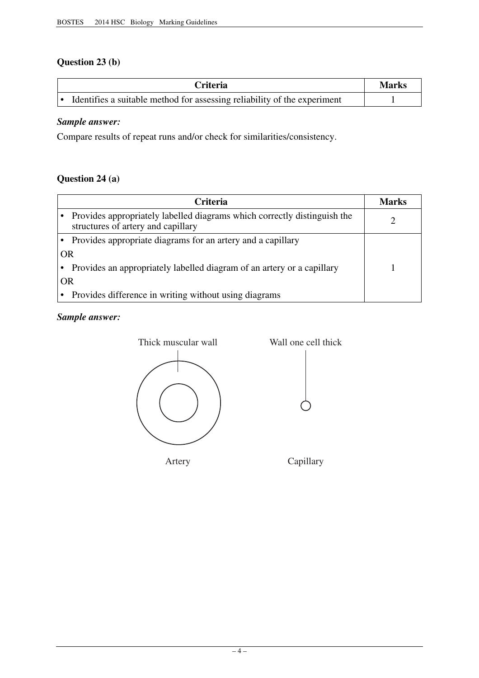## **Question 23 (b)**

| <b>Criteria</b>                                                                    | <b>Marks</b> |
|------------------------------------------------------------------------------------|--------------|
| $\bullet$ Identifies a suitable method for assessing reliability of the experiment |              |

## *Sample answer:*

Compare results of repeat runs and/or check for similarities/consistency.

## **Question 24 (a)**

|           | <b>Criteria</b>                                                                                                | Marks |
|-----------|----------------------------------------------------------------------------------------------------------------|-------|
|           | Provides appropriately labelled diagrams which correctly distinguish the<br>structures of artery and capillary |       |
|           | Provides appropriate diagrams for an artery and a capillary                                                    |       |
| OR        |                                                                                                                |       |
|           | Provides an appropriately labelled diagram of an artery or a capillary                                         |       |
| <b>OR</b> |                                                                                                                |       |
|           | Provides difference in writing without using diagrams                                                          |       |

## *Sample answer:*





Artery Capillary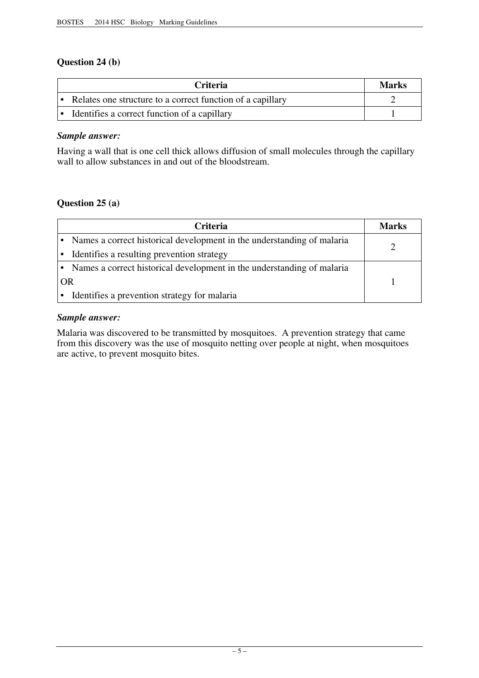## **Question 24 (b)**

| <b>Criteria</b>                                            | Marks |
|------------------------------------------------------------|-------|
| Relates one structure to a correct function of a capillary |       |
| • Identifies a correct function of a capillary             |       |

#### *Sample answer:*

Having a wall that is one cell thick allows diffusion of small molecules through the capillary wall to allow substances in and out of the bloodstream.

## **Question 25 (a)**

| <b>Criteria</b>                                                          | Marks |
|--------------------------------------------------------------------------|-------|
| • Names a correct historical development in the understanding of malaria |       |
| Identifies a resulting prevention strategy                               |       |
| • Names a correct historical development in the understanding of malaria |       |
| OR                                                                       |       |
| Identifies a prevention strategy for malaria                             |       |

#### *Sample answer:*

Malaria was discovered to be transmitted by mosquitoes. A prevention strategy that came from this discovery was the use of mosquito netting over people at night, when mosquitoes are active, to prevent mosquito bites.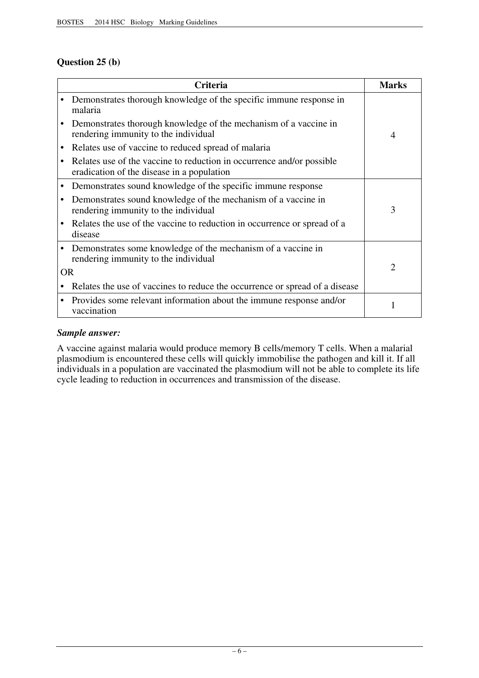## **Question 25 (b)**

|   | Criteria                                                                                                            | <b>Marks</b>          |
|---|---------------------------------------------------------------------------------------------------------------------|-----------------------|
|   | Demonstrates thorough knowledge of the specific immune response in<br>malaria                                       |                       |
|   | Demonstrates thorough knowledge of the mechanism of a vaccine in<br>rendering immunity to the individual            | $\overline{4}$        |
|   | Relates use of vaccine to reduced spread of malaria                                                                 |                       |
|   | Relates use of the vaccine to reduction in occurrence and/or possible<br>eradication of the disease in a population |                       |
| ٠ | Demonstrates sound knowledge of the specific immune response                                                        |                       |
|   | Demonstrates sound knowledge of the mechanism of a vaccine in<br>rendering immunity to the individual               | 3                     |
|   | Relates the use of the vaccine to reduction in occurrence or spread of a<br>disease                                 |                       |
|   | Demonstrates some knowledge of the mechanism of a vaccine in<br>rendering immunity to the individual                | $\mathcal{D}_{\cdot}$ |
|   | <b>OR</b>                                                                                                           |                       |
|   | Relates the use of vaccines to reduce the occurrence or spread of a disease                                         |                       |
|   | Provides some relevant information about the immune response and/or<br>vaccination                                  |                       |

#### *Sample answer:*

A vaccine against malaria would produce memory B cells/memory T cells. When a malarial plasmodium is encountered these cells will quickly immobilise the pathogen and kill it. If all individuals in a population are vaccinated the plasmodium will not be able to complete its life cycle leading to reduction in occurrences and transmission of the disease.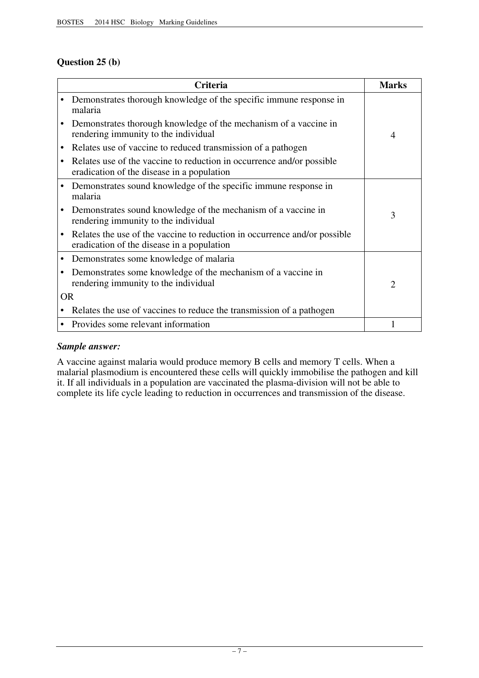## **Question 25 (b)**

|           | Criteria                                                                                                                | <b>Marks</b>   |
|-----------|-------------------------------------------------------------------------------------------------------------------------|----------------|
|           | Demonstrates thorough knowledge of the specific immune response in<br>malaria                                           |                |
|           | Demonstrates thorough knowledge of the mechanism of a vaccine in<br>rendering immunity to the individual                | $\overline{4}$ |
|           | Relates use of vaccine to reduced transmission of a pathogen                                                            |                |
| $\bullet$ | Relates use of the vaccine to reduction in occurrence and/or possible<br>eradication of the disease in a population     |                |
|           | Demonstrates sound knowledge of the specific immune response in<br>malaria                                              |                |
|           | Demonstrates sound knowledge of the mechanism of a vaccine in<br>rendering immunity to the individual                   | 3              |
|           | Relates the use of the vaccine to reduction in occurrence and/or possible<br>eradication of the disease in a population |                |
|           | Demonstrates some knowledge of malaria                                                                                  |                |
|           | Demonstrates some knowledge of the mechanism of a vaccine in<br>rendering immunity to the individual                    | $\overline{2}$ |
|           | <b>OR</b>                                                                                                               |                |
|           | Relates the use of vaccines to reduce the transmission of a pathogen                                                    |                |
|           | Provides some relevant information                                                                                      |                |

#### *Sample answer:*

A vaccine against malaria would produce memory B cells and memory T cells. When a malarial plasmodium is encountered these cells will quickly immobilise the pathogen and kill it. If all individuals in a population are vaccinated the plasma-division will not be able to complete its life cycle leading to reduction in occurrences and transmission of the disease.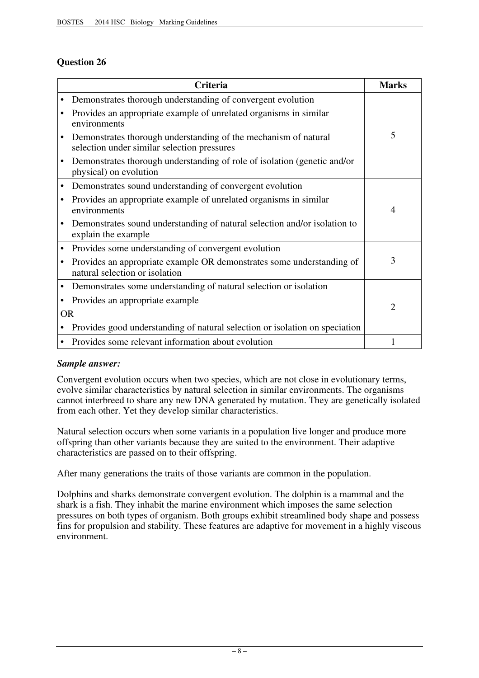## **Question 26**

|           | Criteria                                                                                                       | <b>Marks</b>   |
|-----------|----------------------------------------------------------------------------------------------------------------|----------------|
|           | Demonstrates thorough understanding of convergent evolution                                                    |                |
|           | Provides an appropriate example of unrelated organisms in similar<br>environments                              |                |
|           | Demonstrates thorough understanding of the mechanism of natural<br>selection under similar selection pressures | 5              |
| $\bullet$ | Demonstrates thorough understanding of role of isolation (genetic and/or<br>physical) on evolution             |                |
| $\bullet$ | Demonstrates sound understanding of convergent evolution                                                       |                |
| $\bullet$ | Provides an appropriate example of unrelated organisms in similar<br>environments                              | 4              |
|           | Demonstrates sound understanding of natural selection and/or isolation to<br>explain the example               |                |
|           | • Provides some understanding of convergent evolution                                                          |                |
| $\bullet$ | Provides an appropriate example OR demonstrates some understanding of<br>natural selection or isolation        | 3              |
|           | Demonstrates some understanding of natural selection or isolation                                              |                |
| $\bullet$ | Provides an appropriate example                                                                                | $\overline{2}$ |
| <b>OR</b> |                                                                                                                |                |
|           | Provides good understanding of natural selection or isolation on speciation                                    |                |
|           | Provides some relevant information about evolution                                                             |                |

#### *Sample answer:*

Convergent evolution occurs when two species, which are not close in evolutionary terms, evolve similar characteristics by natural selection in similar environments. The organisms cannot interbreed to share any new DNA generated by mutation. They are genetically isolated from each other. Yet they develop similar characteristics.

Natural selection occurs when some variants in a population live longer and produce more offspring than other variants because they are suited to the environment. Their adaptive characteristics are passed on to their offspring.

After many generations the traits of those variants are common in the population.

Dolphins and sharks demonstrate convergent evolution. The dolphin is a mammal and the shark is a fish. They inhabit the marine environment which imposes the same selection pressures on both types of organism. Both groups exhibit streamlined body shape and possess fins for propulsion and stability. These features are adaptive for movement in a highly viscous environment.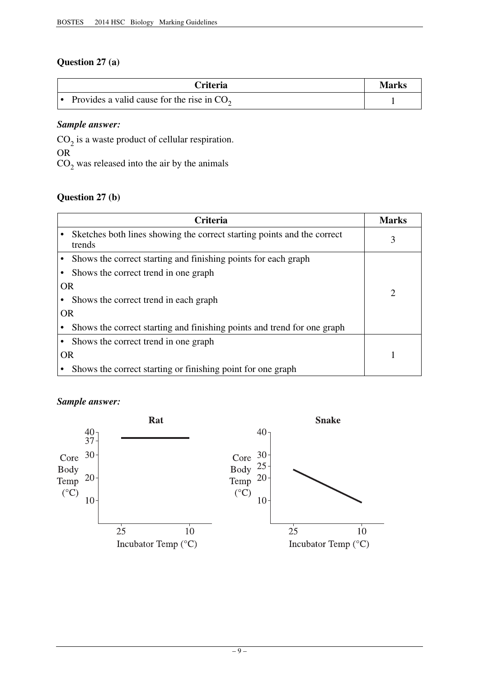## **Question 27 (a)**

| <b>Criteria</b>                              | Marks |
|----------------------------------------------|-------|
| Provides a valid cause for the rise in $CO2$ |       |

#### *Sample answer:*

 $CO<sub>2</sub>$  is a waste product of cellular respiration. OR

 $CO<sub>2</sub>$  was released into the air by the animals

### **Question 27 (b)**

|           | <b>Criteria</b>                                                                   | <b>Marks</b> |
|-----------|-----------------------------------------------------------------------------------|--------------|
| ٠         | Sketches both lines showing the correct starting points and the correct<br>trends | 3            |
|           | Shows the correct starting and finishing points for each graph                    |              |
|           | Shows the correct trend in one graph                                              |              |
| <b>OR</b> |                                                                                   |              |
|           | Shows the correct trend in each graph                                             |              |
| <b>OR</b> |                                                                                   |              |
|           | Shows the correct starting and finishing points and trend for one graph           |              |
|           | Shows the correct trend in one graph                                              |              |
| <b>OR</b> |                                                                                   |              |
|           | Shows the correct starting or finishing point for one graph                       |              |

#### *Sample answer:*

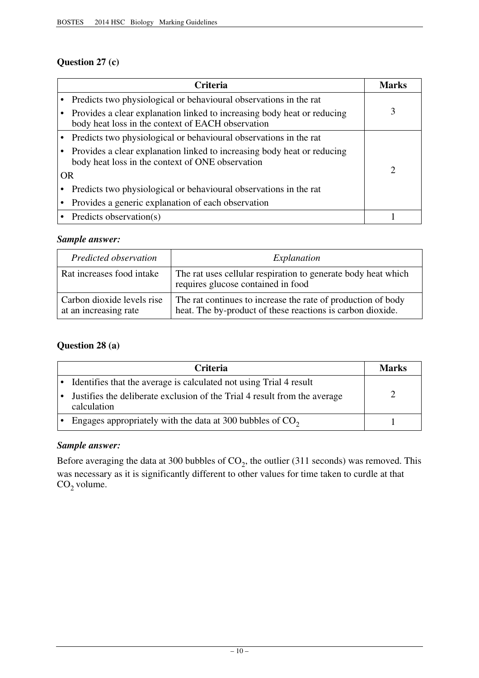## **Question 27 (c)**

|           | <b>Criteria</b>                                                                                                              | Marks                       |
|-----------|------------------------------------------------------------------------------------------------------------------------------|-----------------------------|
|           | Predicts two physiological or behavioural observations in the rat                                                            |                             |
|           | Provides a clear explanation linked to increasing body heat or reducing<br>body heat loss in the context of EACH observation | 3                           |
|           | Predicts two physiological or behavioural observations in the rat                                                            |                             |
|           | Provides a clear explanation linked to increasing body heat or reducing<br>body heat loss in the context of ONE observation  |                             |
| <b>OR</b> |                                                                                                                              | $\mathcal{D}_{\mathcal{L}}$ |
|           | Predicts two physiological or behavioural observations in the rat                                                            |                             |
|           | Provides a generic explanation of each observation                                                                           |                             |
|           | Predicts observation(s)                                                                                                      |                             |

## *Sample answer:*

| Predicted observation                               | Explanation                                                                                                                |
|-----------------------------------------------------|----------------------------------------------------------------------------------------------------------------------------|
| Rat increases food intake                           | The rat uses cellular respiration to generate body heat which<br>requires glucose contained in food                        |
| Carbon dioxide levels rise<br>at an increasing rate | The rat continues to increase the rate of production of body<br>heat. The by-product of these reactions is carbon dioxide. |

## **Question 28 (a)**

| Criteria                                                                                 | Marks |
|------------------------------------------------------------------------------------------|-------|
| Identifies that the average is calculated not using Trial 4 result                       |       |
| Justifies the deliberate exclusion of the Trial 4 result from the average<br>calculation |       |
| Engages appropriately with the data at 300 bubbles of $CO2$                              |       |

#### *Sample answer:*

Before averaging the data at 300 bubbles of  $CO<sub>2</sub>$ , the outlier (311 seconds) was removed. This was necessary as it is significantly different to other values for time taken to curdle at that  $CO<sub>2</sub>$  volume.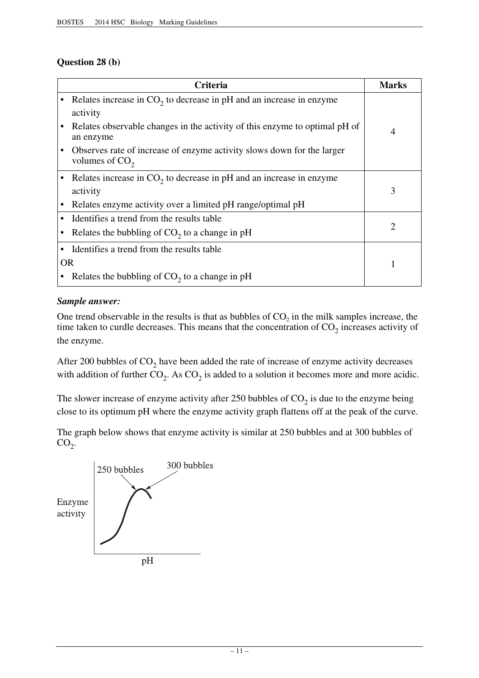## **Question 28 (b)**

|           | Criteria                                                                                   | <b>Marks</b>   |
|-----------|--------------------------------------------------------------------------------------------|----------------|
|           | Relates increase in $CO2$ to decrease in pH and an increase in enzyme<br>activity          |                |
|           | Relates observable changes in the activity of this enzyme to optimal pH of<br>an enzyme    | $\overline{4}$ |
|           | Observes rate of increase of enzyme activity slows down for the larger<br>volumes of $CO2$ |                |
|           | Relates increase in $CO2$ to decrease in pH and an increase in enzyme                      |                |
|           | activity                                                                                   | 3              |
|           | Relates enzyme activity over a limited pH range/optimal pH                                 |                |
|           | Identifies a trend from the results table                                                  |                |
|           | Relates the bubbling of CO <sub>2</sub> to a change in pH                                  | 2              |
|           | Identifies a trend from the results table                                                  |                |
| <b>OR</b> |                                                                                            |                |
|           | Relates the bubbling of $CO2$ to a change in pH                                            |                |

## *Sample answer:*

One trend observable in the results is that as bubbles of  $CO<sub>2</sub>$  in the milk samples increase, the time taken to curdle decreases. This means that the concentration of  $CO<sub>2</sub>$  increases activity of the enzyme.

After 200 bubbles of  $CO<sub>2</sub>$  have been added the rate of increase of enzyme activity decreases with addition of further  $CO_2$ . As  $CO_2$  is added to a solution it becomes more and more acidic.

The slower increase of enzyme activity after 250 bubbles of  $CO<sub>2</sub>$  is due to the enzyme being close to its optimum pH where the enzyme activity graph flattens off at the peak of the curve.

The graph below shows that enzyme activity is similar at 250 bubbles and at 300 bubbles of  $CO<sub>2</sub>$ .

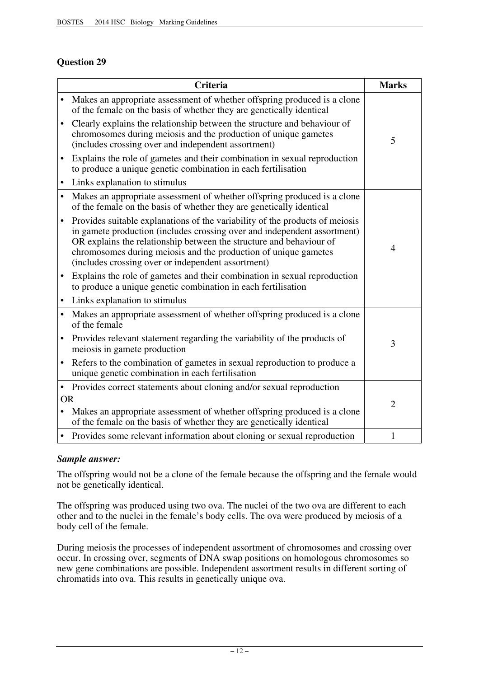## **Question 29**

|           | <b>Criteria</b>                                                                                                                                                                                                                                                                                                                                          | <b>Marks</b>   |
|-----------|----------------------------------------------------------------------------------------------------------------------------------------------------------------------------------------------------------------------------------------------------------------------------------------------------------------------------------------------------------|----------------|
|           | Makes an appropriate assessment of whether offspring produced is a clone<br>of the female on the basis of whether they are genetically identical                                                                                                                                                                                                         |                |
|           | Clearly explains the relationship between the structure and behaviour of<br>chromosomes during meiosis and the production of unique gametes<br>(includes crossing over and independent assortment)                                                                                                                                                       | 5              |
|           | Explains the role of gametes and their combination in sexual reproduction<br>to produce a unique genetic combination in each fertilisation                                                                                                                                                                                                               |                |
| $\bullet$ | Links explanation to stimulus                                                                                                                                                                                                                                                                                                                            |                |
| $\bullet$ | Makes an appropriate assessment of whether offspring produced is a clone<br>of the female on the basis of whether they are genetically identical                                                                                                                                                                                                         |                |
| $\bullet$ | Provides suitable explanations of the variability of the products of meiosis<br>in gamete production (includes crossing over and independent assortment)<br>OR explains the relationship between the structure and behaviour of<br>chromosomes during meiosis and the production of unique gametes<br>(includes crossing over or independent assortment) | 4              |
|           | Explains the role of gametes and their combination in sexual reproduction<br>to produce a unique genetic combination in each fertilisation                                                                                                                                                                                                               |                |
|           | Links explanation to stimulus                                                                                                                                                                                                                                                                                                                            |                |
| $\bullet$ | Makes an appropriate assessment of whether offspring produced is a clone<br>of the female                                                                                                                                                                                                                                                                |                |
| $\bullet$ | Provides relevant statement regarding the variability of the products of<br>meiosis in gamete production                                                                                                                                                                                                                                                 | 3              |
| $\bullet$ | Refers to the combination of gametes in sexual reproduction to produce a<br>unique genetic combination in each fertilisation                                                                                                                                                                                                                             |                |
|           | • Provides correct statements about cloning and/or sexual reproduction                                                                                                                                                                                                                                                                                   |                |
| <b>OR</b> |                                                                                                                                                                                                                                                                                                                                                          | $\overline{2}$ |
| $\bullet$ | Makes an appropriate assessment of whether offspring produced is a clone<br>of the female on the basis of whether they are genetically identical                                                                                                                                                                                                         |                |
|           | • Provides some relevant information about cloning or sexual reproduction                                                                                                                                                                                                                                                                                | $\mathbf{1}$   |

#### *Sample answer:*

The offspring would not be a clone of the female because the offspring and the female would not be genetically identical.

The offspring was produced using two ova. The nuclei of the two ova are different to each other and to the nuclei in the female's body cells. The ova were produced by meiosis of a body cell of the female.

During meiosis the processes of independent assortment of chromosomes and crossing over occur. In crossing over, segments of DNA swap positions on homologous chromosomes so new gene combinations are possible. Independent assortment results in different sorting of chromatids into ova. This results in genetically unique ova.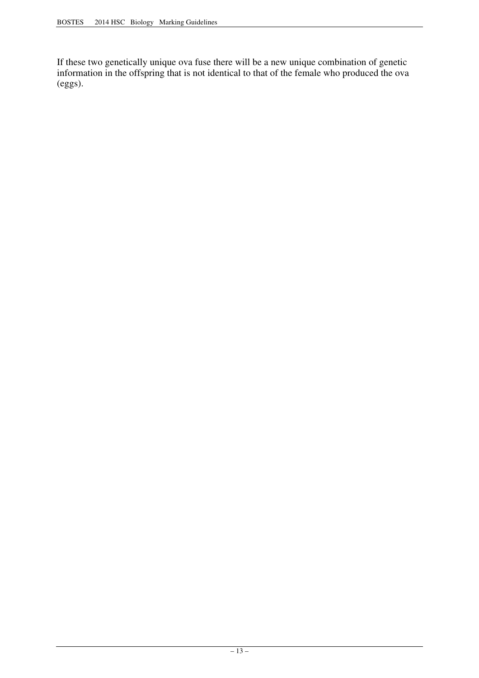If these two genetically unique ova fuse there will be a new unique combination of genetic information in the offspring that is not identical to that of the female who produced the ova (eggs).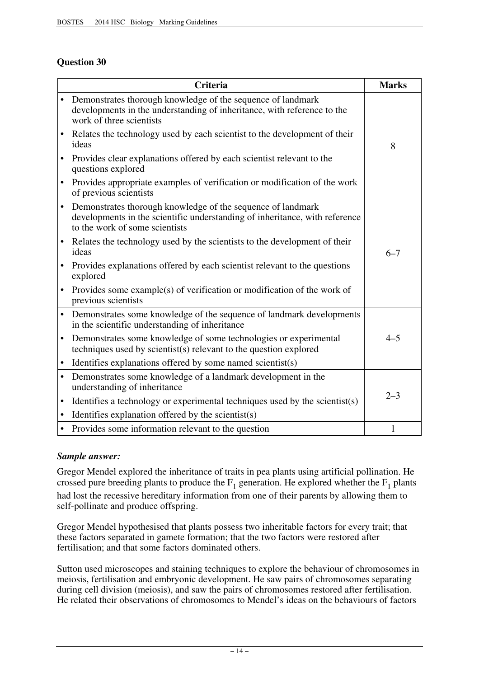## **Question 30**

|           | <b>Criteria</b>                                                                                                                                                              | <b>Marks</b> |
|-----------|------------------------------------------------------------------------------------------------------------------------------------------------------------------------------|--------------|
| $\bullet$ | Demonstrates thorough knowledge of the sequence of landmark<br>developments in the understanding of inheritance, with reference to the<br>work of three scientists           |              |
| $\bullet$ | Relates the technology used by each scientist to the development of their<br>ideas                                                                                           | 8            |
|           | Provides clear explanations offered by each scientist relevant to the<br>questions explored                                                                                  |              |
| $\bullet$ | Provides appropriate examples of verification or modification of the work<br>of previous scientists                                                                          |              |
| $\bullet$ | Demonstrates thorough knowledge of the sequence of landmark<br>developments in the scientific understanding of inheritance, with reference<br>to the work of some scientists |              |
| $\bullet$ | Relates the technology used by the scientists to the development of their<br>ideas                                                                                           | $6 - 7$      |
| $\bullet$ | Provides explanations offered by each scientist relevant to the questions<br>explored                                                                                        |              |
| $\bullet$ | Provides some example(s) of verification or modification of the work of<br>previous scientists                                                                               |              |
| $\bullet$ | Demonstrates some knowledge of the sequence of landmark developments<br>in the scientific understanding of inheritance                                                       |              |
| $\bullet$ | Demonstrates some knowledge of some technologies or experimental<br>techniques used by scientist(s) relevant to the question explored                                        | $4 - 5$      |
| $\bullet$ | Identifies explanations offered by some named scientist(s)                                                                                                                   |              |
| $\bullet$ | Demonstrates some knowledge of a landmark development in the<br>understanding of inheritance                                                                                 |              |
| $\bullet$ | Identifies a technology or experimental techniques used by the scientist(s)                                                                                                  | $2 - 3$      |
| $\bullet$ | Identifies explanation offered by the scientist(s)                                                                                                                           |              |
| $\bullet$ | Provides some information relevant to the question                                                                                                                           | $\mathbf{1}$ |

## *Sample answer:*

Gregor Mendel explored the inheritance of traits in pea plants using artificial pollination. He crossed pure breeding plants to produce the  $F_1$  generation. He explored whether the  $F_1$  plants had lost the recessive hereditary information from one of their parents by allowing them to self-pollinate and produce offspring.

Gregor Mendel hypothesised that plants possess two inheritable factors for every trait; that these factors separated in gamete formation; that the two factors were restored after fertilisation; and that some factors dominated others.

Sutton used microscopes and staining techniques to explore the behaviour of chromosomes in meiosis, fertilisation and embryonic development. He saw pairs of chromosomes separating during cell division (meiosis), and saw the pairs of chromosomes restored after fertilisation. He related their observations of chromosomes to Mendel's ideas on the behaviours of factors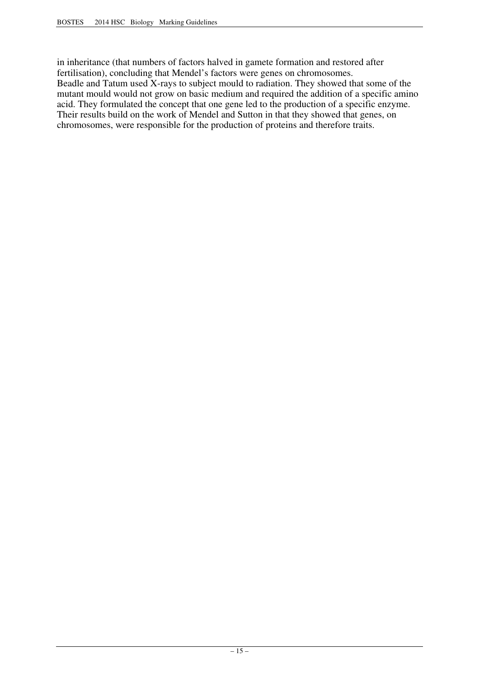in inheritance (that numbers of factors halved in gamete formation and restored after fertilisation), concluding that Mendel's factors were genes on chromosomes. Beadle and Tatum used X-rays to subject mould to radiation. They showed that some of the mutant mould would not grow on basic medium and required the addition of a specific amino acid. They formulated the concept that one gene led to the production of a specific enzyme. Their results build on the work of Mendel and Sutton in that they showed that genes, on chromosomes, were responsible for the production of proteins and therefore traits.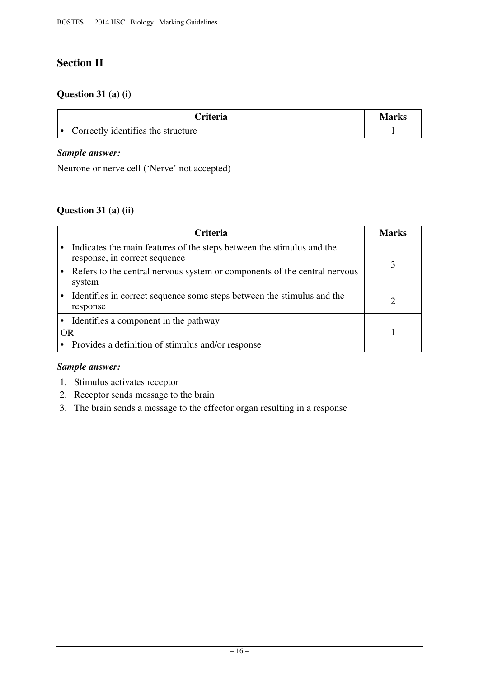## **Section II**

## **Question 31 (a) (i)**

| Criteria                           | Marks |
|------------------------------------|-------|
| Correctly identifies the structure |       |

### *Sample answer:*

Neurone or nerve cell ('Nerve' not accepted)

## **Question 31 (a) (ii)**

| <b>Criteria</b>                                                                                        | Marks |
|--------------------------------------------------------------------------------------------------------|-------|
| Indicates the main features of the steps between the stimulus and the<br>response, in correct sequence |       |
| Refers to the central nervous system or components of the central nervous<br>system                    |       |
| Identifies in correct sequence some steps between the stimulus and the<br>response                     |       |
| Identifies a component in the pathway                                                                  |       |
| <b>OR</b>                                                                                              |       |
| Provides a definition of stimulus and/or response                                                      |       |

## *Sample answer:*

- 1. Stimulus activates receptor
- 2. Receptor sends message to the brain
- 3. The brain sends a message to the effector organ resulting in a response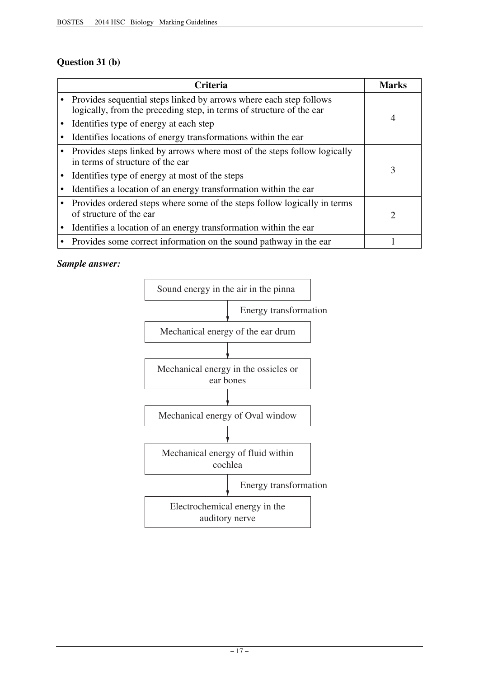## **Question 31 (b)**

| <b>Criteria</b>                                                                                                                              | Marks |
|----------------------------------------------------------------------------------------------------------------------------------------------|-------|
| • Provides sequential steps linked by arrows where each step follows<br>logically, from the preceding step, in terms of structure of the ear |       |
| Identifies type of energy at each step                                                                                                       | 4     |
| Identifies locations of energy transformations within the ear                                                                                |       |
| • Provides steps linked by arrows where most of the steps follow logically<br>in terms of structure of the ear                               |       |
| Identifies type of energy at most of the steps                                                                                               | 3     |
| Identifies a location of an energy transformation within the ear                                                                             |       |
| • Provides ordered steps where some of the steps follow logically in terms<br>of structure of the ear                                        | 2     |
| Identifies a location of an energy transformation within the ear                                                                             |       |
| • Provides some correct information on the sound pathway in the ear                                                                          |       |

## *Sample answer:*

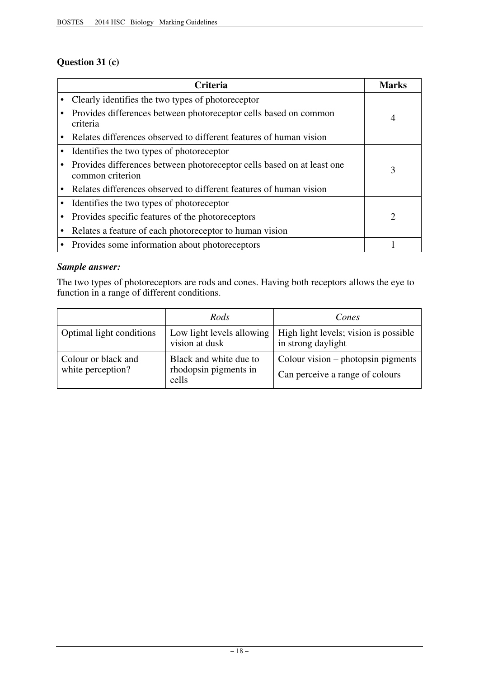## **Question 31 (c)**

| <b>Criteria</b>                                                                            | <b>Marks</b> |
|--------------------------------------------------------------------------------------------|--------------|
| Clearly identifies the two types of photoreceptor                                          |              |
| Provides differences between photoreceptor cells based on common<br>criteria               | 4            |
| Relates differences observed to different features of human vision                         |              |
| Identifies the two types of photoreceptor                                                  |              |
| Provides differences between photoreceptor cells based on at least one<br>common criterion | 3            |
| Relates differences observed to different features of human vision                         |              |
| Identifies the two types of photoreceptor                                                  |              |
| Provides specific features of the photoreceptors                                           | 2            |
| Relates a feature of each photoreceptor to human vision                                    |              |
| Provides some information about photoreceptors                                             |              |

## *Sample answer:*

The two types of photoreceptors are rods and cones. Having both receptors allows the eye to function in a range of different conditions.

|                                          | Rods                                                     | Cones                                                                   |
|------------------------------------------|----------------------------------------------------------|-------------------------------------------------------------------------|
| Optimal light conditions                 | Low light levels allowing<br>vision at dusk              | High light levels; vision is possible<br>in strong daylight             |
| Colour or black and<br>white perception? | Black and white due to<br>rhodopsin pigments in<br>cells | Colour vision $-$ photopsin pigments<br>Can perceive a range of colours |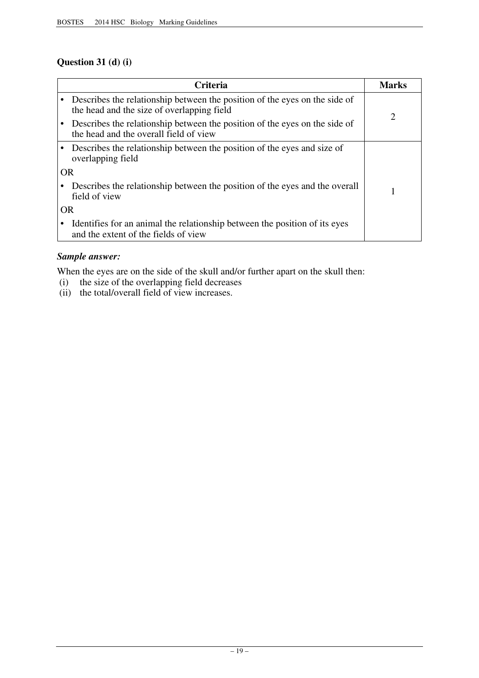## **Question 31 (d) (i)**

|           | <b>Criteria</b>                                                                                                          | <b>Marks</b> |
|-----------|--------------------------------------------------------------------------------------------------------------------------|--------------|
|           | Describes the relationship between the position of the eyes on the side of<br>the head and the size of overlapping field | 2            |
|           | Describes the relationship between the position of the eyes on the side of<br>the head and the overall field of view     |              |
|           | Describes the relationship between the position of the eyes and size of<br>overlapping field                             |              |
| <b>OR</b> |                                                                                                                          |              |
|           | Describes the relationship between the position of the eyes and the overall<br>field of view                             |              |
| <b>OR</b> |                                                                                                                          |              |
|           | Identifies for an animal the relationship between the position of its eyes<br>and the extent of the fields of view       |              |

## *Sample answer:*

When the eyes are on the side of the skull and/or further apart on the skull then:

- (i) the size of the overlapping field decreases
- (ii) the total/overall field of view increases.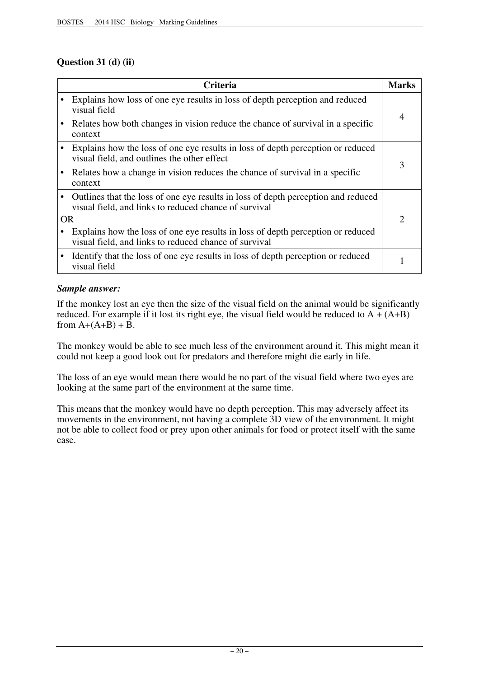## **Question 31 (d) (ii)**

|     | Criteria                                                                                                                                   | <b>Marks</b>   |
|-----|--------------------------------------------------------------------------------------------------------------------------------------------|----------------|
|     | Explains how loss of one eye results in loss of depth perception and reduced<br>visual field                                               | 4              |
|     | Relates how both changes in vision reduce the chance of survival in a specific<br>context                                                  |                |
|     | Explains how the loss of one eye results in loss of depth perception or reduced<br>visual field, and outlines the other effect             | 3              |
|     | Relates how a change in vision reduces the chance of survival in a specific<br>context                                                     |                |
|     | Outlines that the loss of one eye results in loss of depth perception and reduced<br>visual field, and links to reduced chance of survival |                |
| OR. |                                                                                                                                            | $\overline{2}$ |
|     | Explains how the loss of one eye results in loss of depth perception or reduced<br>visual field, and links to reduced chance of survival   |                |
|     | Identify that the loss of one eye results in loss of depth perception or reduced<br>visual field                                           |                |

## *Sample answer:*

If the monkey lost an eye then the size of the visual field on the animal would be significantly reduced. For example if it lost its right eye, the visual field would be reduced to  $A + (A+B)$ from  $A+(A+B)+B$ .

The monkey would be able to see much less of the environment around it. This might mean it could not keep a good look out for predators and therefore might die early in life.

The loss of an eye would mean there would be no part of the visual field where two eyes are looking at the same part of the environment at the same time.

This means that the monkey would have no depth perception. This may adversely affect its movements in the environment, not having a complete 3D view of the environment. It might not be able to collect food or prey upon other animals for food or protect itself with the same ease.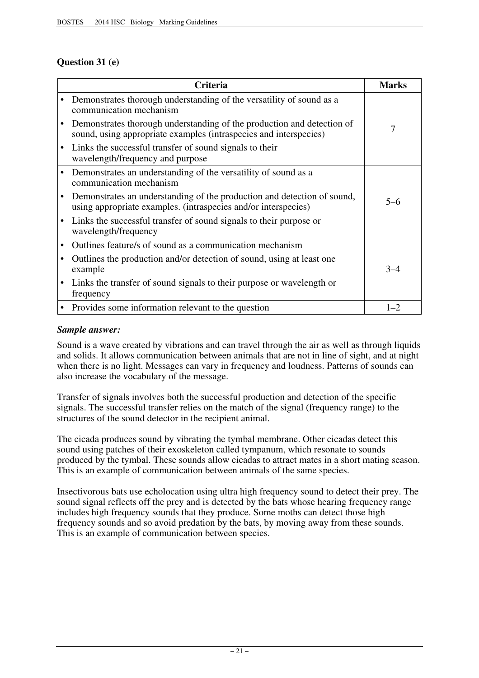## **Question 31 (e)**

| <b>Criteria</b>                                                                                                                             | <b>Marks</b> |
|---------------------------------------------------------------------------------------------------------------------------------------------|--------------|
| Demonstrates thorough understanding of the versatility of sound as a<br>communication mechanism                                             |              |
| Demonstrates thorough understanding of the production and detection of<br>sound, using appropriate examples (intraspecies and interspecies) | 7            |
| Links the successful transfer of sound signals to their<br>wavelength/frequency and purpose                                                 |              |
| Demonstrates an understanding of the versatility of sound as a<br>communication mechanism                                                   |              |
| Demonstrates an understanding of the production and detection of sound,<br>using appropriate examples. (intraspecies and/or interspecies)   | $5-6$        |
| Links the successful transfer of sound signals to their purpose or<br>wavelength/frequency                                                  |              |
| Outlines feature/s of sound as a communication mechanism                                                                                    |              |
| Outlines the production and/or detection of sound, using at least one<br>example                                                            | $3 - 4$      |
| Links the transfer of sound signals to their purpose or wavelength or<br>frequency                                                          |              |
| • Provides some information relevant to the question                                                                                        | $1 - 2$      |

#### *Sample answer:*

Sound is a wave created by vibrations and can travel through the air as well as through liquids and solids. It allows communication between animals that are not in line of sight, and at night when there is no light. Messages can vary in frequency and loudness. Patterns of sounds can also increase the vocabulary of the message.

Transfer of signals involves both the successful production and detection of the specific signals. The successful transfer relies on the match of the signal (frequency range) to the structures of the sound detector in the recipient animal.

The cicada produces sound by vibrating the tymbal membrane. Other cicadas detect this sound using patches of their exoskeleton called tympanum, which resonate to sounds produced by the tymbal. These sounds allow cicadas to attract mates in a short mating season. This is an example of communication between animals of the same species.

Insectivorous bats use echolocation using ultra high frequency sound to detect their prey. The sound signal reflects off the prey and is detected by the bats whose hearing frequency range includes high frequency sounds that they produce. Some moths can detect those high frequency sounds and so avoid predation by the bats, by moving away from these sounds. This is an example of communication between species.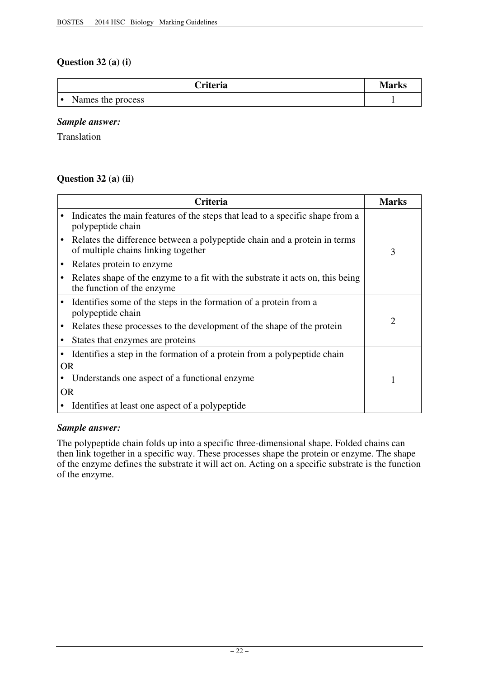## **Question 32 (a) (i)**

| <b>Criteria</b>                     | <b>Marks</b> |
|-------------------------------------|--------------|
| Names the process<br>$\blacksquare$ |              |

#### *Sample answer:*

Translation

## **Question 32 (a) (ii)**

|           | <b>Criteria</b>                                                                                                  | <b>Marks</b> |
|-----------|------------------------------------------------------------------------------------------------------------------|--------------|
|           | Indicates the main features of the steps that lead to a specific shape from a<br>polypeptide chain               |              |
|           | Relates the difference between a polypeptide chain and a protein in terms<br>of multiple chains linking together | 3            |
| ٠         | Relates protein to enzyme.                                                                                       |              |
|           | Relates shape of the enzyme to a fit with the substrate it acts on, this being<br>the function of the enzyme     |              |
| $\bullet$ | Identifies some of the steps in the formation of a protein from a<br>polypeptide chain                           |              |
| ٠         | Relates these processes to the development of the shape of the protein                                           | 2            |
|           | States that enzymes are proteins                                                                                 |              |
|           | Identifies a step in the formation of a protein from a polypeptide chain                                         |              |
| <b>OR</b> |                                                                                                                  |              |
|           | Understands one aspect of a functional enzyme.                                                                   |              |
| OR        |                                                                                                                  |              |
|           | Identifies at least one aspect of a polypeptide                                                                  |              |

### *Sample answer:*

The polypeptide chain folds up into a specific three-dimensional shape. Folded chains can then link together in a specific way. These processes shape the protein or enzyme. The shape of the enzyme defines the substrate it will act on. Acting on a specific substrate is the function of the enzyme.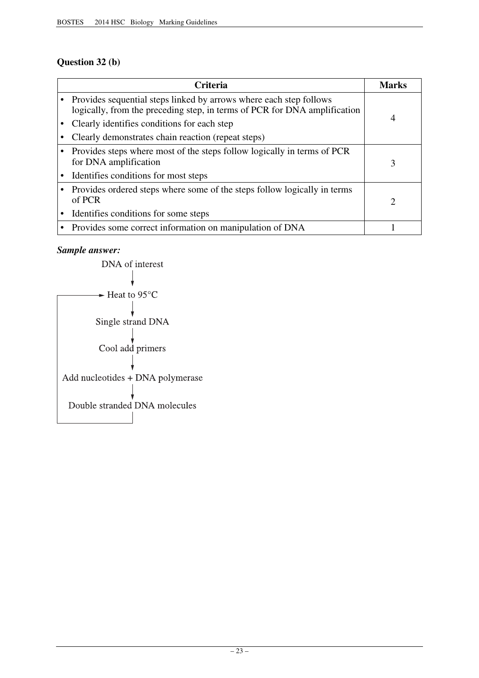## **Question 32 (b)**

| <b>Criteria</b>                                                                                                                                   | <b>Marks</b> |
|---------------------------------------------------------------------------------------------------------------------------------------------------|--------------|
| • Provides sequential steps linked by arrows where each step follows<br>logically, from the preceding step, in terms of PCR for DNA amplification |              |
| Clearly identifies conditions for each step                                                                                                       | 4            |
| Clearly demonstrates chain reaction (repeat steps)                                                                                                |              |
| Provides steps where most of the steps follow logically in terms of PCR<br>for DNA amplification                                                  | 3            |
| Identifies conditions for most steps                                                                                                              |              |
| Provides ordered steps where some of the steps follow logically in terms<br>of PCR                                                                | 2            |
| Identifies conditions for some steps                                                                                                              |              |
| • Provides some correct information on manipulation of DNA                                                                                        |              |

## *Sample answer:*

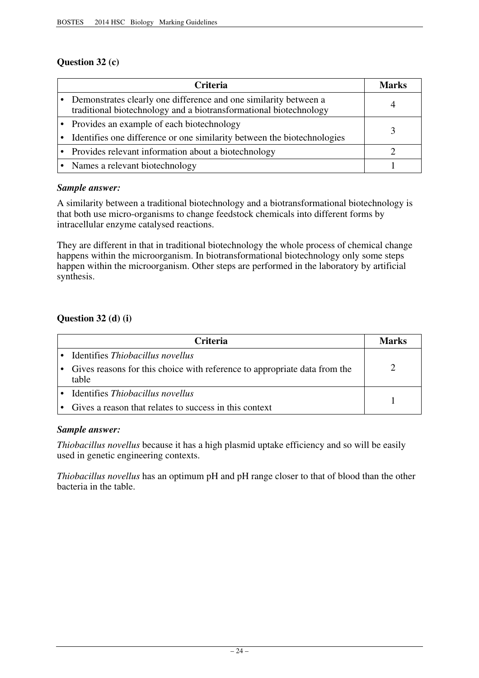## **Question 32 (c)**

| <b>Criteria</b>                                                                                                                         | <b>Marks</b> |
|-----------------------------------------------------------------------------------------------------------------------------------------|--------------|
| • Demonstrates clearly one difference and one similarity between a<br>traditional biotechnology and a biotransformational biotechnology |              |
| • Provides an example of each biotechnology                                                                                             |              |
| • Identifies one difference or one similarity between the biotechnologies                                                               |              |
| • Provides relevant information about a biotechnology                                                                                   |              |
| • Names a relevant biotechnology                                                                                                        |              |

#### *Sample answer:*

A similarity between a traditional biotechnology and a biotransformational biotechnology is that both use micro-organisms to change feedstock chemicals into different forms by intracellular enzyme catalysed reactions.

They are different in that in traditional biotechnology the whole process of chemical change happens within the microorganism. In biotransformational biotechnology only some steps happen within the microorganism. Other steps are performed in the laboratory by artificial synthesis.

## **Question 32 (d) (i)**

| Criteria                                                                           | Marks |
|------------------------------------------------------------------------------------|-------|
| • Identifies Thiobacillus novellus                                                 |       |
| Gives reasons for this choice with reference to appropriate data from the<br>table |       |
| • Identifies Thiobacillus novellus                                                 |       |
| Gives a reason that relates to success in this context                             |       |

#### *Sample answer:*

*Thiobacillus novellus* because it has a high plasmid uptake efficiency and so will be easily used in genetic engineering contexts.

*Thiobacillus novellus* has an optimum pH and pH range closer to that of blood than the other bacteria in the table.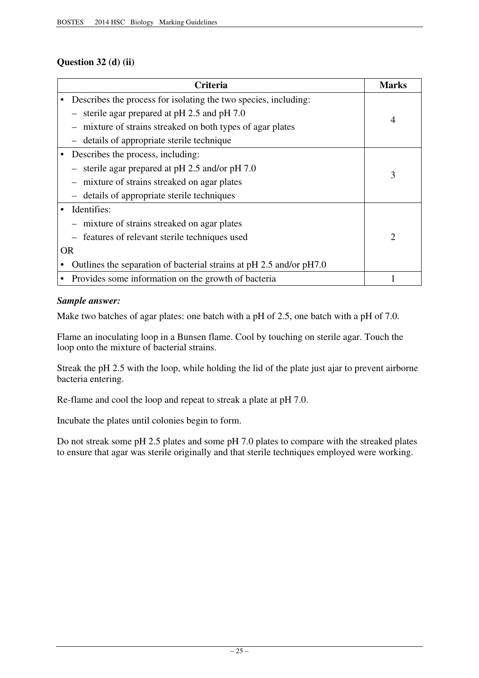## **Question 32 (d) (ii)**

|           | Criteria                                                            | <b>Marks</b>                |
|-----------|---------------------------------------------------------------------|-----------------------------|
|           | Describes the process for isolating the two species, including:     |                             |
|           | - sterile agar prepared at $pH$ 2.5 and $pH$ 7.0                    | $\overline{4}$              |
|           | mixture of strains streaked on both types of agar plates            |                             |
|           | details of appropriate sterile technique                            |                             |
|           | Describes the process, including:                                   |                             |
|           | - sterile agar prepared at $pH$ 2.5 and/or $pH$ 7.0                 | 3                           |
|           | mixture of strains streaked on agar plates                          |                             |
|           | details of appropriate sterile techniques                           |                             |
|           | Identifies:                                                         |                             |
|           | - mixture of strains streaked on agar plates                        |                             |
|           | features of relevant sterile techniques used                        | $\mathcal{D}_{\mathcal{L}}$ |
| <b>OR</b> |                                                                     |                             |
|           | Outlines the separation of bacterial strains at pH 2.5 and/or pH7.0 |                             |
|           | Provides some information on the growth of bacteria                 |                             |

## *Sample answer:*

Make two batches of agar plates: one batch with a pH of 2.5, one batch with a pH of 7.0.

Flame an inoculating loop in a Bunsen flame. Cool by touching on sterile agar. Touch the loop onto the mixture of bacterial strains.

Streak the pH 2.5 with the loop, while holding the lid of the plate just ajar to prevent airborne bacteria entering.

Re-flame and cool the loop and repeat to streak a plate at pH 7.0.

Incubate the plates until colonies begin to form.

Do not streak some pH 2.5 plates and some pH 7.0 plates to compare with the streaked plates to ensure that agar was sterile originally and that sterile techniques employed were working.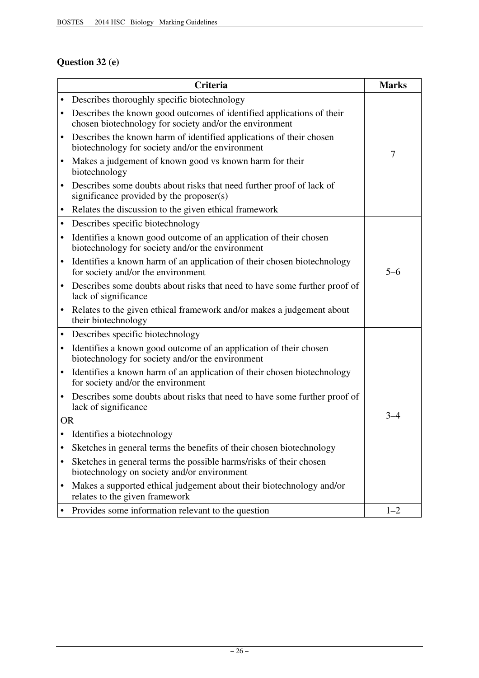## **Question 32 (e)**

|           | Criteria                                                                                                                         | <b>Marks</b>   |
|-----------|----------------------------------------------------------------------------------------------------------------------------------|----------------|
| $\bullet$ | Describes thoroughly specific biotechnology                                                                                      |                |
| $\bullet$ | Describes the known good outcomes of identified applications of their<br>chosen biotechnology for society and/or the environment |                |
| $\bullet$ | Describes the known harm of identified applications of their chosen<br>biotechnology for society and/or the environment          | $\overline{7}$ |
| $\bullet$ | Makes a judgement of known good vs known harm for their<br>biotechnology                                                         |                |
| $\bullet$ | Describes some doubts about risks that need further proof of lack of<br>significance provided by the proposer(s)                 |                |
| $\bullet$ | Relates the discussion to the given ethical framework                                                                            |                |
| $\bullet$ | Describes specific biotechnology                                                                                                 |                |
| ٠         | Identifies a known good outcome of an application of their chosen<br>biotechnology for society and/or the environment            |                |
| $\bullet$ | Identifies a known harm of an application of their chosen biotechnology<br>for society and/or the environment                    | $5 - 6$        |
|           | Describes some doubts about risks that need to have some further proof of<br>lack of significance                                |                |
| $\bullet$ | Relates to the given ethical framework and/or makes a judgement about<br>their biotechnology                                     |                |
|           | • Describes specific biotechnology                                                                                               |                |
| $\bullet$ | Identifies a known good outcome of an application of their chosen<br>biotechnology for society and/or the environment            |                |
| $\bullet$ | Identifies a known harm of an application of their chosen biotechnology<br>for society and/or the environment                    |                |
| $\bullet$ | Describes some doubts about risks that need to have some further proof of<br>lack of significance                                |                |
| <b>OR</b> |                                                                                                                                  | $3 - 4$        |
|           | Identifies a biotechnology                                                                                                       |                |
|           | Sketches in general terms the benefits of their chosen biotechnology                                                             |                |
| ٠         | Sketches in general terms the possible harms/risks of their chosen<br>biotechnology on society and/or environment                |                |
| $\bullet$ | Makes a supported ethical judgement about their biotechnology and/or<br>relates to the given framework                           |                |
| ٠         | Provides some information relevant to the question                                                                               | $1 - 2$        |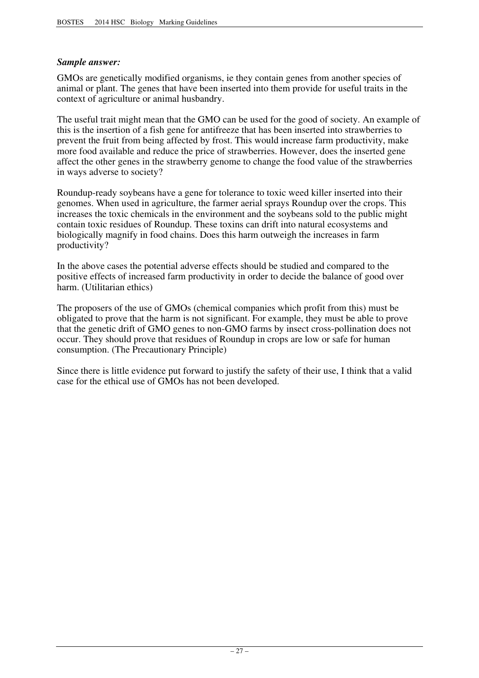#### *Sample answer:*

GMOs are genetically modified organisms, ie they contain genes from another species of animal or plant. The genes that have been inserted into them provide for useful traits in the context of agriculture or animal husbandry.

The useful trait might mean that the GMO can be used for the good of society. An example of this is the insertion of a fish gene for antifreeze that has been inserted into strawberries to prevent the fruit from being affected by frost. This would increase farm productivity, make more food available and reduce the price of strawberries. However, does the inserted gene affect the other genes in the strawberry genome to change the food value of the strawberries in ways adverse to society?

Roundup-ready soybeans have a gene for tolerance to toxic weed killer inserted into their genomes. When used in agriculture, the farmer aerial sprays Roundup over the crops. This increases the toxic chemicals in the environment and the soybeans sold to the public might contain toxic residues of Roundup. These toxins can drift into natural ecosystems and biologically magnify in food chains. Does this harm outweigh the increases in farm productivity?

In the above cases the potential adverse effects should be studied and compared to the positive effects of increased farm productivity in order to decide the balance of good over harm. (Utilitarian ethics)

The proposers of the use of GMOs (chemical companies which profit from this) must be obligated to prove that the harm is not significant. For example, they must be able to prove that the genetic drift of GMO genes to non-GMO farms by insect cross-pollination does not occur. They should prove that residues of Roundup in crops are low or safe for human consumption. (The Precautionary Principle)

Since there is little evidence put forward to justify the safety of their use, I think that a valid case for the ethical use of GMOs has not been developed.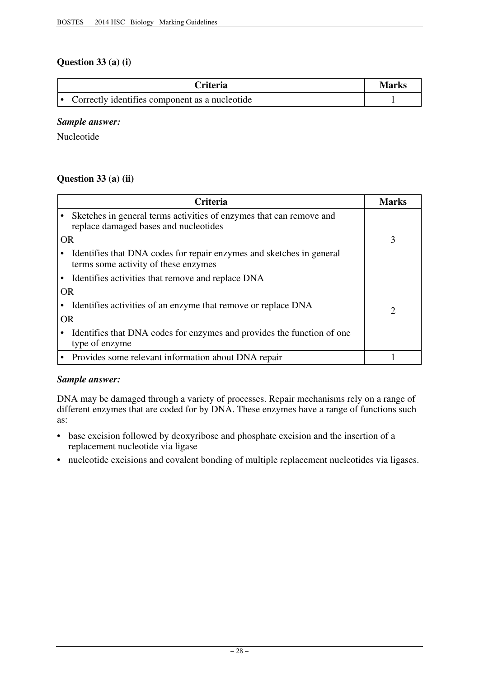## **Question 33 (a) (i)**

| <b>Criteria</b>                                  | Marks |
|--------------------------------------------------|-------|
| • Correctly identifies component as a nucleotide |       |

#### *Sample answer:*

Nucleotide

## **Question 33 (a) (ii)**

|           | <b>Criteria</b>                                                                                              | <b>Marks</b> |
|-----------|--------------------------------------------------------------------------------------------------------------|--------------|
|           | Sketches in general terms activities of enzymes that can remove and<br>replace damaged bases and nucleotides |              |
| <b>OR</b> |                                                                                                              | 3            |
|           | Identifies that DNA codes for repair enzymes and sketches in general<br>terms some activity of these enzymes |              |
|           | Identifies activities that remove and replace DNA                                                            |              |
| <b>OR</b> |                                                                                                              |              |
|           | Identifies activities of an enzyme that remove or replace DNA                                                | っ            |
| <b>OR</b> |                                                                                                              |              |
|           | Identifies that DNA codes for enzymes and provides the function of one<br>type of enzyme                     |              |
|           | • Provides some relevant information about DNA repair                                                        |              |

#### *Sample answer:*

DNA may be damaged through a variety of processes. Repair mechanisms rely on a range of different enzymes that are coded for by DNA. These enzymes have a range of functions such as:

- base excision followed by deoxyribose and phosphate excision and the insertion of a replacement nucleotide via ligase
- nucleotide excisions and covalent bonding of multiple replacement nucleotides via ligases.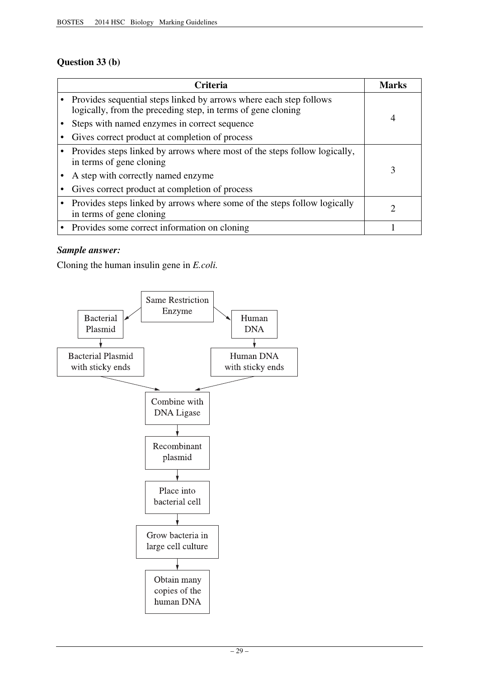## **Question 33 (b)**

| <b>Criteria</b>                                                                                                                      | Marks |
|--------------------------------------------------------------------------------------------------------------------------------------|-------|
| • Provides sequential steps linked by arrows where each step follows<br>logically, from the preceding step, in terms of gene cloning |       |
| Steps with named enzymes in correct sequence                                                                                         | 4     |
| Gives correct product at completion of process                                                                                       |       |
| Provides steps linked by arrows where most of the steps follow logically,<br>in terms of gene cloning                                |       |
| A step with correctly named enzyme                                                                                                   | 3     |
| Gives correct product at completion of process                                                                                       |       |
| Provides steps linked by arrows where some of the steps follow logically<br>in terms of gene cloning                                 |       |
| • Provides some correct information on cloning                                                                                       |       |

#### *Sample answer:*

Cloning the human insulin gene in *E.coli.* 

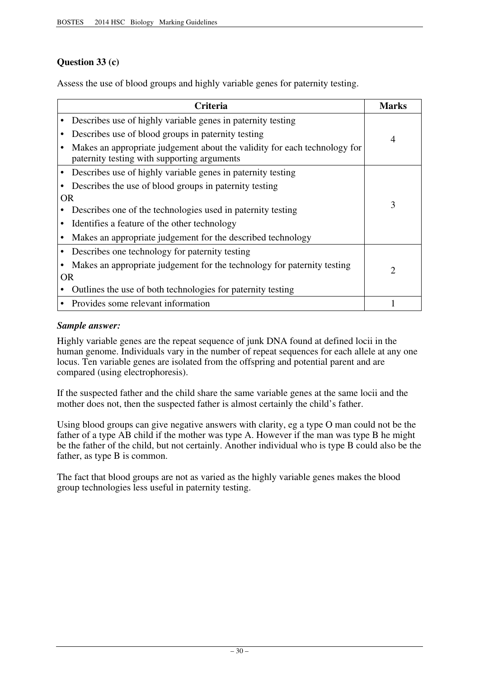## **Question 33 (c)**

Assess the use of blood groups and highly variable genes for paternity testing.

|           | Criteria                                                                                                                 | <b>Marks</b>   |
|-----------|--------------------------------------------------------------------------------------------------------------------------|----------------|
|           | Describes use of highly variable genes in paternity testing                                                              |                |
|           | Describes use of blood groups in paternity testing                                                                       | $\overline{4}$ |
|           | Makes an appropriate judgement about the validity for each technology for<br>paternity testing with supporting arguments |                |
|           | Describes use of highly variable genes in paternity testing                                                              |                |
|           | Describes the use of blood groups in paternity testing                                                                   |                |
| <b>OR</b> |                                                                                                                          | 3              |
|           | Describes one of the technologies used in paternity testing                                                              |                |
|           | Identifies a feature of the other technology                                                                             |                |
|           | Makes an appropriate judgement for the described technology                                                              |                |
|           | Describes one technology for paternity testing                                                                           |                |
|           | Makes an appropriate judgement for the technology for paternity testing                                                  | $\overline{c}$ |
| <b>OR</b> |                                                                                                                          |                |
|           | Outlines the use of both technologies for paternity testing                                                              |                |
|           | Provides some relevant information                                                                                       |                |

#### *Sample answer:*

Highly variable genes are the repeat sequence of junk DNA found at defined locii in the human genome. Individuals vary in the number of repeat sequences for each allele at any one locus. Ten variable genes are isolated from the offspring and potential parent and are compared (using electrophoresis).

If the suspected father and the child share the same variable genes at the same locii and the mother does not, then the suspected father is almost certainly the child's father.

Using blood groups can give negative answers with clarity, eg a type O man could not be the father of a type AB child if the mother was type A. However if the man was type B he might be the father of the child, but not certainly. Another individual who is type B could also be the father, as type B is common.

The fact that blood groups are not as varied as the highly variable genes makes the blood group technologies less useful in paternity testing.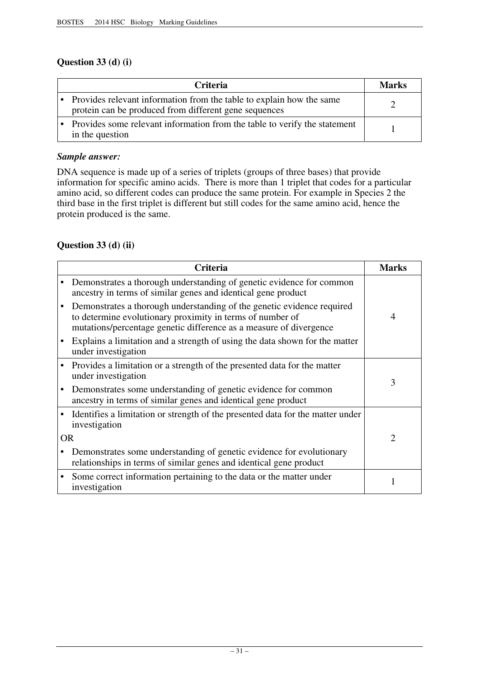## **Question 33 (d) (i)**

| <b>Criteria</b>                                                                                                                 | <b>Marks</b> |
|---------------------------------------------------------------------------------------------------------------------------------|--------------|
| • Provides relevant information from the table to explain how the same<br>protein can be produced from different gene sequences |              |
| Provides some relevant information from the table to verify the statement<br>in the question                                    |              |

#### *Sample answer:*

DNA sequence is made up of a series of triplets (groups of three bases) that provide information for specific amino acids. There is more than 1 triplet that codes for a particular amino acid, so different codes can produce the same protein. For example in Species 2 the third base in the first triplet is different but still codes for the same amino acid, hence the protein produced is the same.

## **Question 33 (d) (ii)**

| Criteria                                                                                                                                                                                                  | <b>Marks</b> |
|-----------------------------------------------------------------------------------------------------------------------------------------------------------------------------------------------------------|--------------|
| Demonstrates a thorough understanding of genetic evidence for common<br>ancestry in terms of similar genes and identical gene product                                                                     |              |
| Demonstrates a thorough understanding of the genetic evidence required<br>to determine evolutionary proximity in terms of number of<br>mutations/percentage genetic difference as a measure of divergence | 4            |
| Explains a limitation and a strength of using the data shown for the matter<br>under investigation                                                                                                        |              |
| Provides a limitation or a strength of the presented data for the matter<br>under investigation                                                                                                           | 3            |
| Demonstrates some understanding of genetic evidence for common<br>ancestry in terms of similar genes and identical gene product                                                                           |              |
| Identifies a limitation or strength of the presented data for the matter under<br>investigation                                                                                                           |              |
| <b>OR</b>                                                                                                                                                                                                 | 2            |
| Demonstrates some understanding of genetic evidence for evolutionary<br>relationships in terms of similar genes and identical gene product                                                                |              |
| Some correct information pertaining to the data or the matter under<br>investigation                                                                                                                      |              |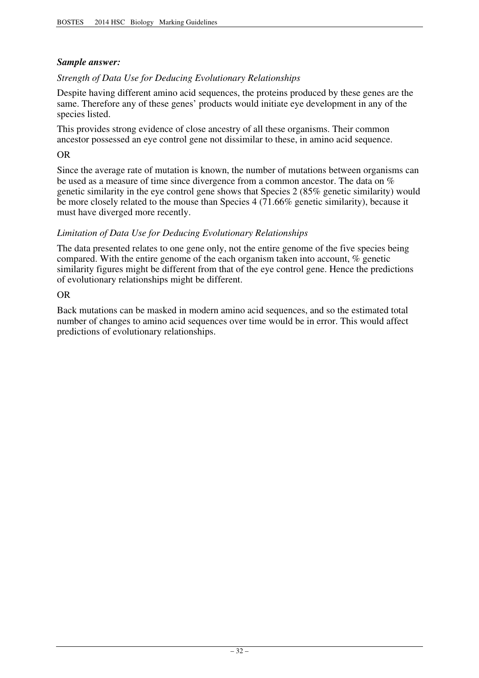### *Sample answer:*

## *Strength of Data Use for Deducing Evolutionary Relationships*

Despite having different amino acid sequences, the proteins produced by these genes are the same. Therefore any of these genes' products would initiate eye development in any of the species listed.

This provides strong evidence of close ancestry of all these organisms. Their common ancestor possessed an eye control gene not dissimilar to these, in amino acid sequence.

#### OR

Since the average rate of mutation is known, the number of mutations between organisms can be used as a measure of time since divergence from a common ancestor. The data on % genetic similarity in the eye control gene shows that Species 2 (85% genetic similarity) would be more closely related to the mouse than Species 4 (71.66% genetic similarity), because it must have diverged more recently.

#### *Limitation of Data Use for Deducing Evolutionary Relationships*

The data presented relates to one gene only, not the entire genome of the five species being compared. With the entire genome of the each organism taken into account, % genetic similarity figures might be different from that of the eye control gene. Hence the predictions of evolutionary relationships might be different.

OR

Back mutations can be masked in modern amino acid sequences, and so the estimated total number of changes to amino acid sequences over time would be in error. This would affect predictions of evolutionary relationships.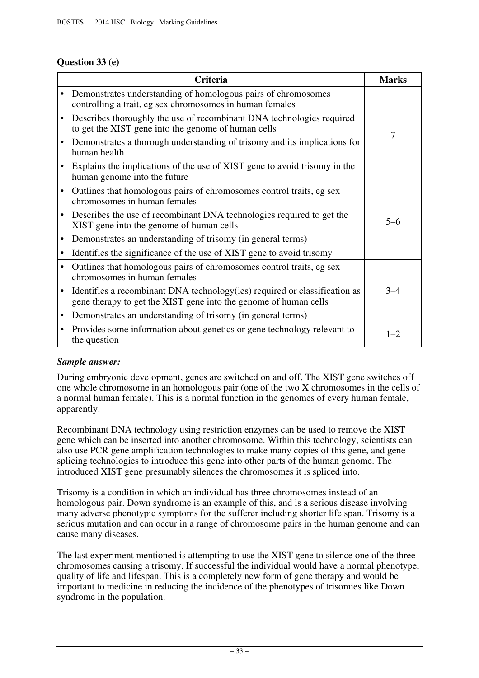## **Question 33 (e)**

|           | <b>Criteria</b>                                                                                                                                 | <b>Marks</b> |
|-----------|-------------------------------------------------------------------------------------------------------------------------------------------------|--------------|
|           | Demonstrates understanding of homologous pairs of chromosomes<br>controlling a trait, eg sex chromosomes in human females                       |              |
|           | Describes thoroughly the use of recombinant DNA technologies required<br>to get the XIST gene into the genome of human cells                    | 7            |
|           | Demonstrates a thorough understanding of trisomy and its implications for<br>human health                                                       |              |
|           | Explains the implications of the use of XIST gene to avoid trisomy in the<br>human genome into the future                                       |              |
| $\bullet$ | Outlines that homologous pairs of chromosomes control traits, eg sex<br>chromosomes in human females                                            |              |
|           | Describes the use of recombinant DNA technologies required to get the<br>XIST gene into the genome of human cells                               | 5-6          |
|           | Demonstrates an understanding of trisomy (in general terms)                                                                                     |              |
|           | Identifies the significance of the use of XIST gene to avoid trisomy                                                                            |              |
|           | Outlines that homologous pairs of chromosomes control traits, eg sex<br>chromosomes in human females                                            |              |
|           | Identifies a recombinant DNA technology (ies) required or classification as<br>gene therapy to get the XIST gene into the genome of human cells | $3 - 4$      |
|           | Demonstrates an understanding of trisomy (in general terms)                                                                                     |              |
| $\bullet$ | Provides some information about genetics or gene technology relevant to<br>the question                                                         | $1 - 2$      |

#### *Sample answer:*

During embryonic development, genes are switched on and off. The XIST gene switches off one whole chromosome in an homologous pair (one of the two X chromosomes in the cells of a normal human female). This is a normal function in the genomes of every human female, apparently.

Recombinant DNA technology using restriction enzymes can be used to remove the XIST gene which can be inserted into another chromosome. Within this technology, scientists can also use PCR gene amplification technologies to make many copies of this gene, and gene splicing technologies to introduce this gene into other parts of the human genome. The introduced XIST gene presumably silences the chromosomes it is spliced into.

Trisomy is a condition in which an individual has three chromosomes instead of an homologous pair. Down syndrome is an example of this, and is a serious disease involving many adverse phenotypic symptoms for the sufferer including shorter life span. Trisomy is a serious mutation and can occur in a range of chromosome pairs in the human genome and can cause many diseases.

The last experiment mentioned is attempting to use the XIST gene to silence one of the three chromosomes causing a trisomy. If successful the individual would have a normal phenotype, quality of life and lifespan. This is a completely new form of gene therapy and would be important to medicine in reducing the incidence of the phenotypes of trisomies like Down syndrome in the population.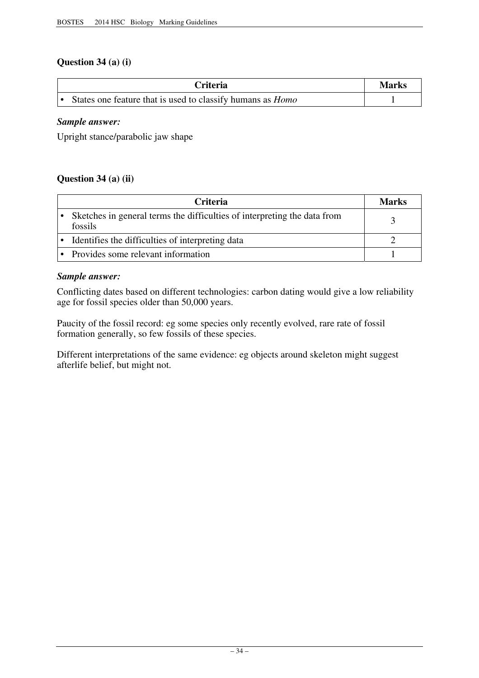## **Question 34 (a) (i)**

| Criteria                                                          | <b>Marks</b> |
|-------------------------------------------------------------------|--------------|
| States one feature that is used to classify humans as <i>Homo</i> |              |

#### *Sample answer:*

Upright stance/parabolic jaw shape

## **Question 34 (a) (ii)**

| <b>Criteria</b>                                                                     | Marks |
|-------------------------------------------------------------------------------------|-------|
| Sketches in general terms the difficulties of interpreting the data from<br>fossils |       |
| • Identifies the difficulties of interpreting data                                  |       |
| • Provides some relevant information                                                |       |

#### *Sample answer:*

Conflicting dates based on different technologies: carbon dating would give a low reliability age for fossil species older than 50,000 years.

Paucity of the fossil record: eg some species only recently evolved, rare rate of fossil formation generally, so few fossils of these species.

Different interpretations of the same evidence: eg objects around skeleton might suggest afterlife belief, but might not.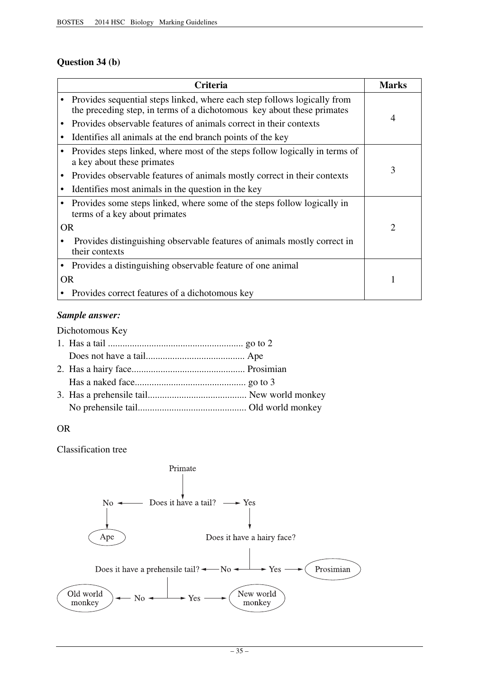## **Question 34 (b)**

|           | Criteria                                                                                                                                           | <b>Marks</b>   |
|-----------|----------------------------------------------------------------------------------------------------------------------------------------------------|----------------|
|           | Provides sequential steps linked, where each step follows logically from<br>the preceding step, in terms of a dichotomous key about these primates |                |
|           | Provides observable features of animals correct in their contexts                                                                                  | 4              |
|           | Identifies all animals at the end branch points of the key                                                                                         |                |
| ٠         | Provides steps linked, where most of the steps follow logically in terms of<br>a key about these primates                                          |                |
|           | Provides observable features of animals mostly correct in their contexts                                                                           | 3              |
|           | Identifies most animals in the question in the key                                                                                                 |                |
| ٠         | Provides some steps linked, where some of the steps follow logically in<br>terms of a key about primates                                           |                |
| <b>OR</b> |                                                                                                                                                    | $\overline{c}$ |
|           | Provides distinguishing observable features of animals mostly correct in<br>their contexts                                                         |                |
|           | Provides a distinguishing observable feature of one animal                                                                                         |                |
| <b>OR</b> |                                                                                                                                                    |                |
|           | Provides correct features of a dichotomous key                                                                                                     |                |

#### *Sample answer:*

Dichotomous Key

## OR

Classification tree

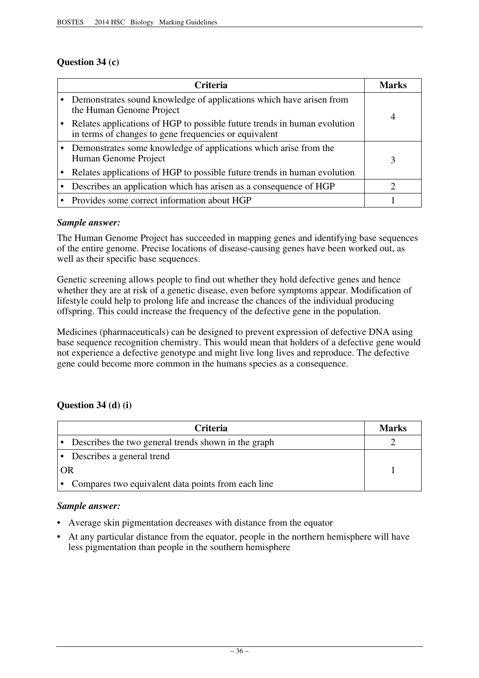## **Question 34 (c)**

| <b>Criteria</b>                                                                                                                   | Marks |
|-----------------------------------------------------------------------------------------------------------------------------------|-------|
| Demonstrates sound knowledge of applications which have arisen from<br>the Human Genome Project                                   |       |
| Relates applications of HGP to possible future trends in human evolution<br>in terms of changes to gene frequencies or equivalent |       |
| Demonstrates some knowledge of applications which arise from the<br>Human Genome Project                                          | 3     |
| Relates applications of HGP to possible future trends in human evolution                                                          |       |
| Describes an application which has arisen as a consequence of HGP                                                                 | 2     |
| Provides some correct information about HGP                                                                                       |       |

#### *Sample answer:*

The Human Genome Project has succeeded in mapping genes and identifying base sequences of the entire genome. Precise locations of disease-causing genes have been worked out, as well as their specific base sequences.

Genetic screening allows people to find out whether they hold defective genes and hence whether they are at risk of a genetic disease, even before symptoms appear. Modification of lifestyle could help to prolong life and increase the chances of the individual producing offspring. This could increase the frequency of the defective gene in the population.

Medicines (pharmaceuticals) can be designed to prevent expression of defective DNA using base sequence recognition chemistry. This would mean that holders of a defective gene would not experience a defective genotype and might live long lives and reproduce. The defective gene could become more common in the humans species as a consequence.

## **Question 34 (d) (i)**

|    | <b>Criteria</b>                                     | <b>Marks</b> |
|----|-----------------------------------------------------|--------------|
|    | Describes the two general trends shown in the graph |              |
|    | Describes a general trend                           |              |
| OR |                                                     |              |
|    | Compares two equivalent data points from each line  |              |

#### *Sample answer:*

- Average skin pigmentation decreases with distance from the equator
- At any particular distance from the equator, people in the northern hemisphere will have less pigmentation than people in the southern hemisphere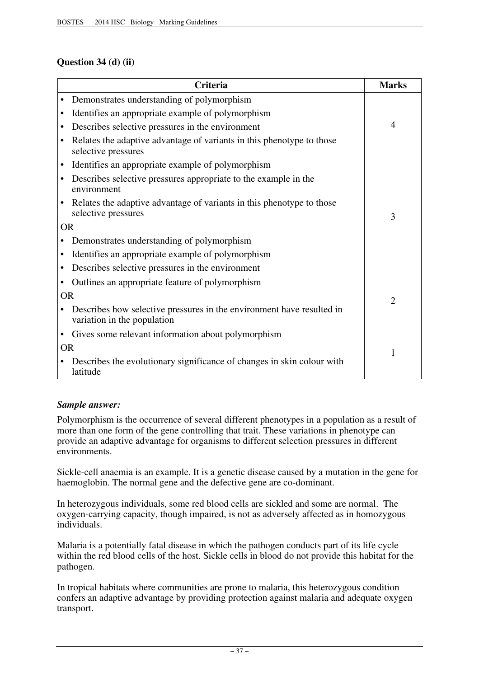## **Question 34 (d) (ii)**

|           | <b>Criteria</b>                                                                                      | <b>Marks</b>   |  |  |
|-----------|------------------------------------------------------------------------------------------------------|----------------|--|--|
| $\bullet$ | Demonstrates understanding of polymorphism                                                           |                |  |  |
| $\bullet$ | Identifies an appropriate example of polymorphism                                                    |                |  |  |
| $\bullet$ | Describes selective pressures in the environment                                                     | $\overline{4}$ |  |  |
| $\bullet$ | Relates the adaptive advantage of variants in this phenotype to those<br>selective pressures         |                |  |  |
| $\bullet$ | Identifies an appropriate example of polymorphism                                                    |                |  |  |
| $\bullet$ | Describes selective pressures appropriate to the example in the<br>environment                       |                |  |  |
|           | Relates the adaptive advantage of variants in this phenotype to those<br>selective pressures         | 3              |  |  |
| <b>OR</b> |                                                                                                      |                |  |  |
| ٠         | Demonstrates understanding of polymorphism                                                           |                |  |  |
|           | Identifies an appropriate example of polymorphism                                                    |                |  |  |
| ٠         | Describes selective pressures in the environment                                                     |                |  |  |
| $\bullet$ | Outlines an appropriate feature of polymorphism                                                      |                |  |  |
| <b>OR</b> |                                                                                                      | $\overline{2}$ |  |  |
|           | Describes how selective pressures in the environment have resulted in<br>variation in the population |                |  |  |
| ٠         | Gives some relevant information about polymorphism                                                   |                |  |  |
| <b>OR</b> |                                                                                                      | 1              |  |  |
|           | Describes the evolutionary significance of changes in skin colour with<br>latitude                   |                |  |  |

#### *Sample answer:*

Polymorphism is the occurrence of several different phenotypes in a population as a result of more than one form of the gene controlling that trait. These variations in phenotype can provide an adaptive advantage for organisms to different selection pressures in different environments.

Sickle-cell anaemia is an example. It is a genetic disease caused by a mutation in the gene for haemoglobin. The normal gene and the defective gene are co-dominant.

In heterozygous individuals, some red blood cells are sickled and some are normal. The oxygen-carrying capacity, though impaired, is not as adversely affected as in homozygous individuals.

Malaria is a potentially fatal disease in which the pathogen conducts part of its life cycle within the red blood cells of the host. Sickle cells in blood do not provide this habitat for the pathogen.

In tropical habitats where communities are prone to malaria, this heterozygous condition confers an adaptive advantage by providing protection against malaria and adequate oxygen transport.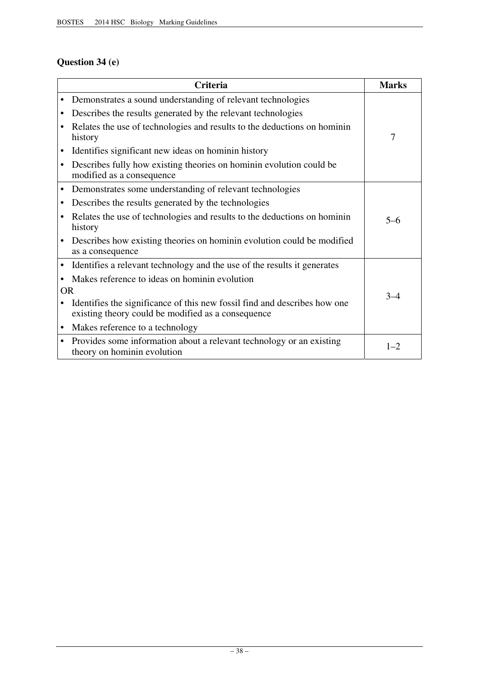## **Question 34 (e)**

|           | <b>Criteria</b>                                                                                                                 | <b>Marks</b> |  |  |
|-----------|---------------------------------------------------------------------------------------------------------------------------------|--------------|--|--|
|           | Demonstrates a sound understanding of relevant technologies                                                                     |              |  |  |
| ٠         | Describes the results generated by the relevant technologies                                                                    |              |  |  |
| $\bullet$ | Relates the use of technologies and results to the deductions on hominin<br>history                                             | 7            |  |  |
| $\bullet$ | Identifies significant new ideas on hominin history                                                                             |              |  |  |
| $\bullet$ | Describes fully how existing theories on hominin evolution could be<br>modified as a consequence                                |              |  |  |
| $\bullet$ | Demonstrates some understanding of relevant technologies                                                                        |              |  |  |
| $\bullet$ | Describes the results generated by the technologies                                                                             |              |  |  |
|           | Relates the use of technologies and results to the deductions on hominin<br>history                                             | $5 - 6$      |  |  |
| $\bullet$ | Describes how existing theories on hominin evolution could be modified<br>as a consequence                                      |              |  |  |
| $\bullet$ | Identifies a relevant technology and the use of the results it generates                                                        |              |  |  |
|           | Makes reference to ideas on hominin evolution                                                                                   |              |  |  |
| <b>OR</b> |                                                                                                                                 | $3 - 4$      |  |  |
|           | Identifies the significance of this new fossil find and describes how one<br>existing theory could be modified as a consequence |              |  |  |
| $\bullet$ | Makes reference to a technology                                                                                                 |              |  |  |
| $\bullet$ | Provides some information about a relevant technology or an existing<br>theory on hominin evolution                             | $1 - 2$      |  |  |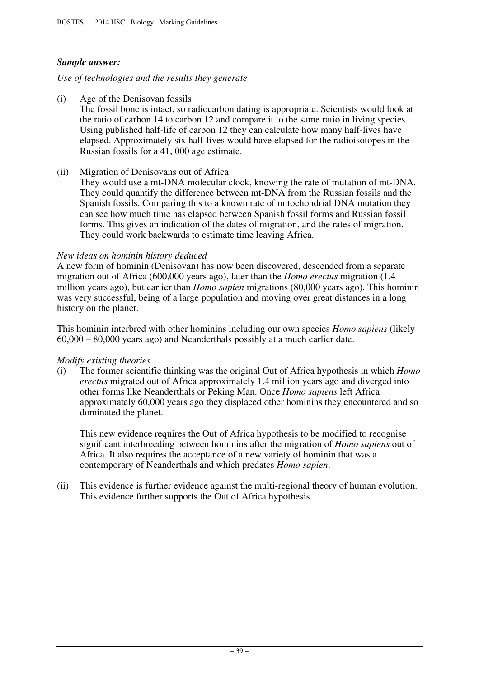#### *Sample answer:*

#### *Use of technologies and the results they generate*

- (i) Age of the Denisovan fossils The fossil bone is intact, so radiocarbon dating is appropriate. Scientists would look at the ratio of carbon 14 to carbon 12 and compare it to the same ratio in living species. Using published half-life of carbon 12 they can calculate how many half-lives have elapsed. Approximately six half-lives would have elapsed for the radioisotopes in the Russian fossils for a 41, 000 age estimate.
- (ii) Migration of Denisovans out of Africa
	- They would use a mt-DNA molecular clock, knowing the rate of mutation of mt-DNA. They could quantify the difference between mt-DNA from the Russian fossils and the Spanish fossils. Comparing this to a known rate of mitochondrial DNA mutation they can see how much time has elapsed between Spanish fossil forms and Russian fossil forms. This gives an indication of the dates of migration, and the rates of migration. They could work backwards to estimate time leaving Africa.

#### *New ideas on hominin history deduced*

A new form of hominin (Denisovan) has now been discovered, descended from a separate migration out of Africa (600,000 years ago), later than the *Homo erectus* migration (1.4 million years ago), but earlier than *Homo sapien* migrations (80,000 years ago). This hominin was very successful, being of a large population and moving over great distances in a long history on the planet.

 60,000 – 80,000 years ago) and Neanderthals possibly at a much earlier date. This hominin interbred with other hominins including our own species *Homo sapiens* (likely

#### *Modify existing theories*

(i) The former scientific thinking was the original Out of Africa hypothesis in which *Homo erectus* migrated out of Africa approximately 1.4 million years ago and diverged into other forms like Neanderthals or Peking Man. Once *Homo sapiens* left Africa approximately 60,000 years ago they displaced other hominins they encountered and so dominated the planet.

This new evidence requires the Out of Africa hypothesis to be modified to recognise significant interbreeding between hominins after the migration of *Homo sapiens* out of Africa. It also requires the acceptance of a new variety of hominin that was a contemporary of Neanderthals and which predates *Homo sapien*.

(ii) This evidence is further evidence against the multi-regional theory of human evolution. This evidence further supports the Out of Africa hypothesis.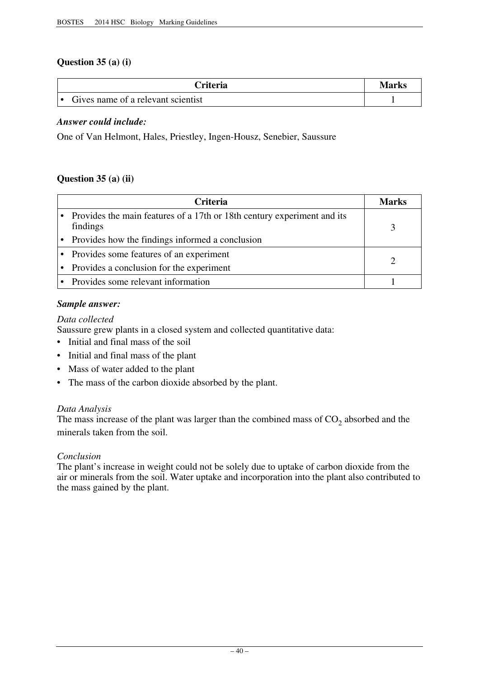## **Question 35 (a) (i)**

| <b>Criteria</b>                    | Marks |
|------------------------------------|-------|
| Gives name of a relevant scientist |       |

#### *Answer could include:*

One of Van Helmont, Hales, Priestley, Ingen-Housz, Senebier, Saussure

## **Question 35 (a) (ii)**

| <b>Criteria</b>                                                                       | Marks |
|---------------------------------------------------------------------------------------|-------|
| • Provides the main features of a 17th or 18th century experiment and its<br>findings |       |
| • Provides how the findings informed a conclusion                                     |       |
| • Provides some features of an experiment                                             |       |
| • Provides a conclusion for the experiment                                            |       |
| • Provides some relevant information                                                  |       |

#### *Sample answer:*

#### *Data collected*

Saussure grew plants in a closed system and collected quantitative data:

- Initial and final mass of the soil
- Initial and final mass of the plant
- Mass of water added to the plant
- The mass of the carbon dioxide absorbed by the plant.

#### *Data Analysis*

The mass increase of the plant was larger than the combined mass of  $CO<sub>2</sub>$  absorbed and the minerals taken from the soil.

#### *Conclusion*

The plant's increase in weight could not be solely due to uptake of carbon dioxide from the air or minerals from the soil. Water uptake and incorporation into the plant also contributed to the mass gained by the plant.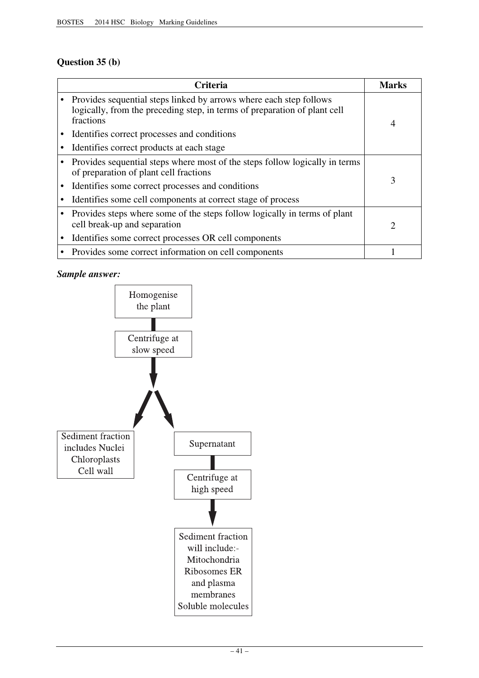## **Question 35 (b)**

| <b>Criteria</b>                                                                                                                                              | <b>Marks</b>   |
|--------------------------------------------------------------------------------------------------------------------------------------------------------------|----------------|
| Provides sequential steps linked by arrows where each step follows<br>logically, from the preceding step, in terms of preparation of plant cell<br>fractions | $\overline{4}$ |
| Identifies correct processes and conditions                                                                                                                  |                |
| Identifies correct products at each stage                                                                                                                    |                |
| Provides sequential steps where most of the steps follow logically in terms<br>of preparation of plant cell fractions                                        |                |
| Identifies some correct processes and conditions                                                                                                             | 3              |
| Identifies some cell components at correct stage of process                                                                                                  |                |
| Provides steps where some of the steps follow logically in terms of plant<br>cell break-up and separation                                                    | 2              |
| Identifies some correct processes OR cell components                                                                                                         |                |
| Provides some correct information on cell components                                                                                                         |                |

## *Sample answer:*

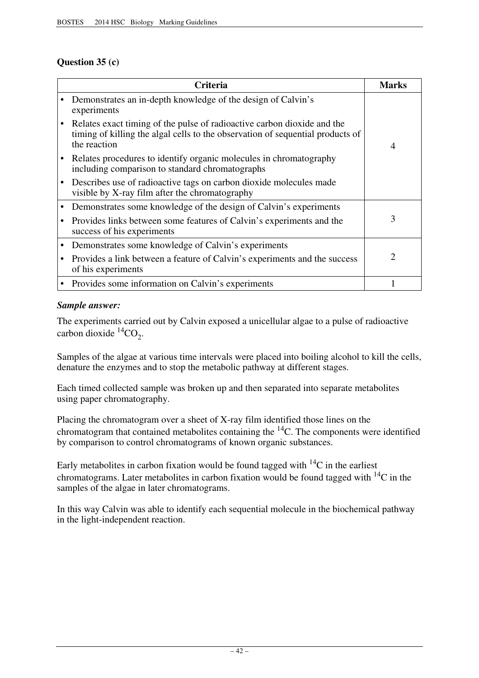## **Question 35 (c)**

|           | <b>Criteria</b>                                                                                                                                                           | Marks          |
|-----------|---------------------------------------------------------------------------------------------------------------------------------------------------------------------------|----------------|
|           | Demonstrates an in-depth knowledge of the design of Calvin's<br>experiments                                                                                               |                |
|           | Relates exact timing of the pulse of radioactive carbon dioxide and the<br>timing of killing the algal cells to the observation of sequential products of<br>the reaction | $\overline{4}$ |
| $\bullet$ | Relates procedures to identify organic molecules in chromatography<br>including comparison to standard chromatographs                                                     |                |
|           | Describes use of radioactive tags on carbon dioxide molecules made<br>visible by X-ray film after the chromatography                                                      |                |
| ٠         | Demonstrates some knowledge of the design of Calvin's experiments                                                                                                         |                |
|           | Provides links between some features of Calvin's experiments and the<br>success of his experiments                                                                        | 3              |
|           | Demonstrates some knowledge of Calvin's experiments                                                                                                                       |                |
|           | Provides a link between a feature of Calvin's experiments and the success<br>of his experiments                                                                           | $\overline{2}$ |
|           | Provides some information on Calvin's experiments                                                                                                                         |                |

#### *Sample answer:*

The experiments carried out by Calvin exposed a unicellular algae to a pulse of radioactive carbon dioxide  ${}^{14}CO_2$ .

Samples of the algae at various time intervals were placed into boiling alcohol to kill the cells, denature the enzymes and to stop the metabolic pathway at different stages.

Each timed collected sample was broken up and then separated into separate metabolites using paper chromatography.

Placing the chromatogram over a sheet of X-ray film identified those lines on the chromatogram that contained metabolites containing the  ${}^{14}C$ . The components were identified by comparison to control chromatograms of known organic substances.

Early metabolites in carbon fixation would be found tagged with  ${}^{14}C$  in the earliest chromatograms. Later metabolites in carbon fixation would be found tagged with  ${}^{14}C$  in the samples of the algae in later chromatograms.

In this way Calvin was able to identify each sequential molecule in the biochemical pathway in the light-independent reaction.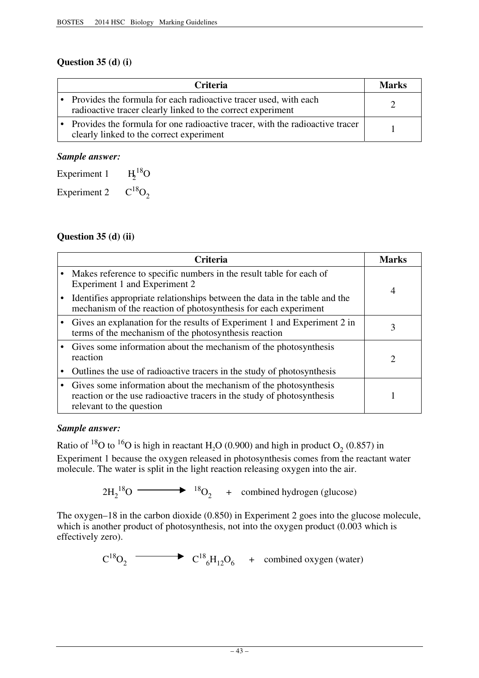## **Question 35 (d) (i)**

| <b>Criteria</b>                                                                                                                   | <b>Marks</b> |
|-----------------------------------------------------------------------------------------------------------------------------------|--------------|
| • Provides the formula for each radioactive tracer used, with each<br>radioactive tracer clearly linked to the correct experiment |              |
| Provides the formula for one radioactive tracer, with the radioactive tracer<br>clearly linked to the correct experiment          |              |

#### *Sample answer:*

Experiment 1  $H_2^{18}O$ 

Experiment 2  $C^{18}O_2$ 

#### **Question 35 (d) (ii)**

| <b>Criteria</b>                                                                                                                                                          | Marks          |
|--------------------------------------------------------------------------------------------------------------------------------------------------------------------------|----------------|
| Makes reference to specific numbers in the result table for each of<br>Experiment 1 and Experiment 2                                                                     | $\overline{4}$ |
| Identifies appropriate relationships between the data in the table and the<br>mechanism of the reaction of photosynthesis for each experiment                            |                |
| Gives an explanation for the results of Experiment 1 and Experiment 2 in<br>terms of the mechanism of the photosynthesis reaction                                        | 3              |
| • Gives some information about the mechanism of the photosynthesis<br>reaction                                                                                           | $\overline{c}$ |
| Outlines the use of radioactive tracers in the study of photosynthesis                                                                                                   |                |
| • Gives some information about the mechanism of the photosynthesis<br>reaction or the use radioactive tracers in the study of photosynthesis<br>relevant to the question |                |

#### *Sample answer:*

Ratio of <sup>18</sup>O to <sup>16</sup>O is high in reactant H<sub>2</sub>O (0.900) and high in product O<sub>2</sub> (0.857) in Experiment 1 because the oxygen released in photosynthesis comes from the reactant water molecule. The water is split in the light reaction releasing oxygen into the air.

 $2H_2^{18}O \longrightarrow 18O_2$  + combined hydrogen (glucose)

The oxygen–18 in the carbon dioxide (0.850) in Experiment 2 goes into the glucose molecule, which is another product of photosynthesis, not into the oxygen product (0.003 which is effectively zero).

 $C^{18}O_2$   $C^{18}{}_6H_{12}O_6$  + combined oxygen (water)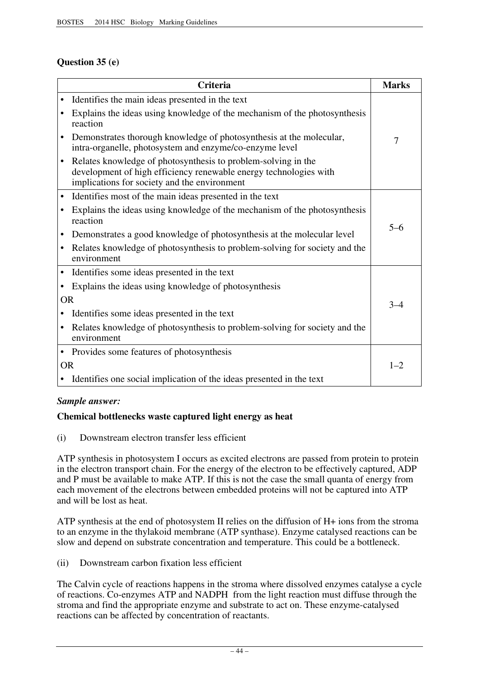## **Question 35 (e)**

|           | <b>Criteria</b>                                                                                                                                                                    | <b>Marks</b> |
|-----------|------------------------------------------------------------------------------------------------------------------------------------------------------------------------------------|--------------|
|           | Identifies the main ideas presented in the text                                                                                                                                    |              |
|           | Explains the ideas using knowledge of the mechanism of the photosynthesis<br>reaction                                                                                              |              |
|           | Demonstrates thorough knowledge of photosynthesis at the molecular,<br>intra-organelle, photosystem and enzyme/co-enzyme level                                                     | 7            |
|           | Relates knowledge of photosynthesis to problem-solving in the<br>development of high efficiency renewable energy technologies with<br>implications for society and the environment |              |
| $\bullet$ | Identifies most of the main ideas presented in the text                                                                                                                            |              |
|           | Explains the ideas using knowledge of the mechanism of the photosynthesis<br>reaction                                                                                              | $5 - 6$      |
|           | Demonstrates a good knowledge of photosynthesis at the molecular level                                                                                                             |              |
| $\bullet$ | Relates knowledge of photosynthesis to problem-solving for society and the<br>environment                                                                                          |              |
| ٠         | Identifies some ideas presented in the text                                                                                                                                        |              |
|           | Explains the ideas using knowledge of photosynthesis                                                                                                                               |              |
| <b>OR</b> |                                                                                                                                                                                    | $3 - 4$      |
|           | Identifies some ideas presented in the text                                                                                                                                        |              |
| ٠         | Relates knowledge of photosynthesis to problem-solving for society and the<br>environment                                                                                          |              |
|           | • Provides some features of photosynthesis                                                                                                                                         |              |
| <b>OR</b> |                                                                                                                                                                                    | $1 - 2$      |
|           | • Identifies one social implication of the ideas presented in the text                                                                                                             |              |

#### *Sample answer:*

#### **Chemical bottlenecks waste captured light energy as heat**

(i) Downstream electron transfer less efficient

ATP synthesis in photosystem I occurs as excited electrons are passed from protein to protein in the electron transport chain. For the energy of the electron to be effectively captured, ADP and P must be available to make ATP. If this is not the case the small quanta of energy from each movement of the electrons between embedded proteins will not be captured into ATP and will be lost as heat.

ATP synthesis at the end of photosystem II relies on the diffusion of H+ ions from the stroma to an enzyme in the thylakoid membrane (ATP synthase). Enzyme catalysed reactions can be slow and depend on substrate concentration and temperature. This could be a bottleneck.

(ii) Downstream carbon fixation less efficient

The Calvin cycle of reactions happens in the stroma where dissolved enzymes catalyse a cycle of reactions. Co-enzymes ATP and NADPH from the light reaction must diffuse through the stroma and find the appropriate enzyme and substrate to act on. These enzyme-catalysed reactions can be affected by concentration of reactants.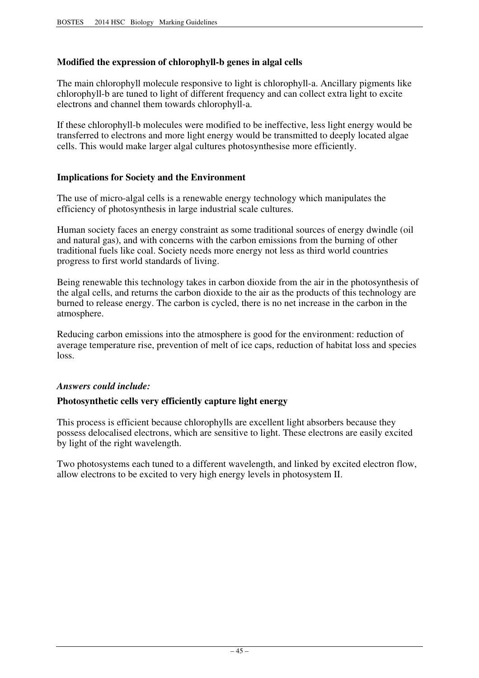## **Modified the expression of chlorophyll-b genes in algal cells**

The main chlorophyll molecule responsive to light is chlorophyll-a. Ancillary pigments like chlorophyll-b are tuned to light of different frequency and can collect extra light to excite electrons and channel them towards chlorophyll-a.

If these chlorophyll-b molecules were modified to be ineffective, less light energy would be transferred to electrons and more light energy would be transmitted to deeply located algae cells. This would make larger algal cultures photosynthesise more efficiently.

#### **Implications for Society and the Environment**

The use of micro-algal cells is a renewable energy technology which manipulates the efficiency of photosynthesis in large industrial scale cultures.

Human society faces an energy constraint as some traditional sources of energy dwindle (oil and natural gas), and with concerns with the carbon emissions from the burning of other traditional fuels like coal. Society needs more energy not less as third world countries progress to first world standards of living.

Being renewable this technology takes in carbon dioxide from the air in the photosynthesis of the algal cells, and returns the carbon dioxide to the air as the products of this technology are burned to release energy. The carbon is cycled, there is no net increase in the carbon in the atmosphere.

Reducing carbon emissions into the atmosphere is good for the environment: reduction of average temperature rise, prevention of melt of ice caps, reduction of habitat loss and species loss.

#### *Answers could include:*

#### **Photosynthetic cells very efficiently capture light energy**

This process is efficient because chlorophylls are excellent light absorbers because they possess delocalised electrons, which are sensitive to light. These electrons are easily excited by light of the right wavelength.

Two photosystems each tuned to a different wavelength, and linked by excited electron flow, allow electrons to be excited to very high energy levels in photosystem II.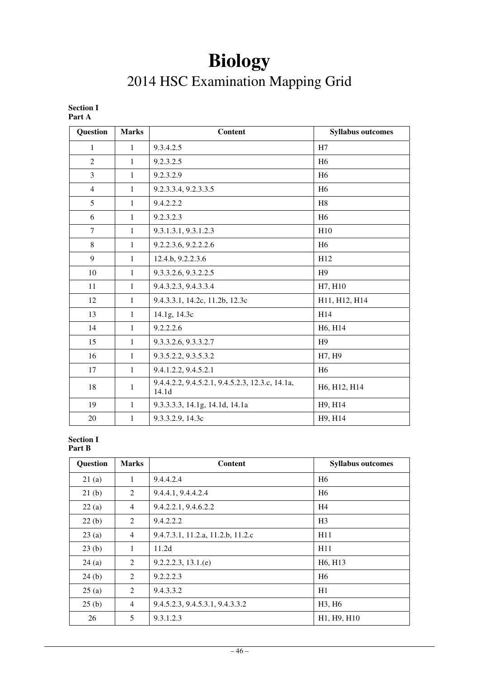# **Biology**  2014 HSC Examination Mapping Grid

#### **Section I Part A**

| <b>Question</b> | <b>Marks</b> | <b>Content</b>                                           | <b>Syllabus outcomes</b> |
|-----------------|--------------|----------------------------------------------------------|--------------------------|
| 1               | 1            | 9.3.4.2.5                                                | H7                       |
| $\overline{2}$  | 1            | 9.2.3.2.5                                                | H <sub>6</sub>           |
| 3               | $\mathbf{1}$ | 9.2.3.2.9                                                | H <sub>6</sub>           |
| $\overline{4}$  | $\mathbf{1}$ | 9.2.3.3.4, 9.2.3.3.5                                     | H <sub>6</sub>           |
| 5               | $\mathbf{1}$ | 9.4.2.2.2                                                | H <sub>8</sub>           |
| 6               | $\mathbf{1}$ | 9.2.3.2.3                                                | H <sub>6</sub>           |
| $\tau$          | $\mathbf{1}$ | 9.3.1.3.1, 9.3.1.2.3                                     | H10                      |
| 8               | $\mathbf{1}$ | 9.2.2.3.6, 9.2.2.2.6                                     | H <sub>6</sub>           |
| 9               | $\mathbf{1}$ | 12.4.b, 9.2.2.3.6                                        | H12                      |
| 10              | $\mathbf{1}$ | 9.3.3.2.6, 9.3.2.2.5                                     | H <sub>9</sub>           |
| 11              | $\mathbf{1}$ | 9.4.3.2.3, 9.4.3.3.4                                     | H7, H10                  |
| 12              | $\mathbf{1}$ | 9.4.3.3.1, 14.2c, 11.2b, 12.3c                           | H11, H12, H14            |
| 13              | 1            | 14.1g, 14.3c                                             | H14                      |
| 14              | $\mathbf{1}$ | 9.2.2.2.6                                                | H6, H14                  |
| 15              | $\mathbf{1}$ | 9.3.3.2.6, 9.3.3.2.7                                     | H <sup>9</sup>           |
| 16              | $\mathbf{1}$ | 9.3.5.2.2, 9.3.5.3.2                                     | H7, H9                   |
| 17              | 1            | 9.4.1.2.2, 9.4.5.2.1                                     | H <sub>6</sub>           |
| 18              | 1            | 9.4.4.2.2, 9.4.5.2.1, 9.4.5.2.3, 12.3.c, 14.1a,<br>14.1d | H6, H12, H14             |
| 19              | $\mathbf{1}$ | 9.3.3.3.3, 14.1g, 14.1d, 14.1a                           | H9, H14                  |
| 20              | 1            | 9.3.3.2.9, 14.3c                                         | H9, H14                  |

#### **Section I Part B**

| Question | <b>Marks</b>   | <b>Content</b>                    | <b>Syllabus outcomes</b>         |
|----------|----------------|-----------------------------------|----------------------------------|
| 21(a)    | 1              | 9.4.4.2.4                         | H <sub>6</sub>                   |
| 21(b)    | 2              | 9.4.4.1, 9.4.4.2.4                | H <sub>6</sub>                   |
| 22(a)    | $\overline{4}$ | 9.4.2.2.1, 9.4.6.2.2              | H <sub>4</sub>                   |
| 22(b)    | 2              | 9.4.2.2.2                         | H <sub>3</sub>                   |
| 23(a)    | $\overline{4}$ | 9.4.7.3.1, 11.2.a, 11.2.b, 11.2.c | H11                              |
| 23(b)    | 1              | 11.2d                             | H11                              |
| 24(a)    | 2              | 9.2.2.2.3, 13.1(e)                | H <sub>6</sub> , H <sub>13</sub> |
| 24(b)    | 2              | 9.2.2.2.3                         | H <sub>6</sub>                   |
| 25(a)    | 2              | 9.4.3.3.2                         | H1                               |
| 25(b)    | $\overline{4}$ | 9.4.5.2.3, 9.4.5.3.1, 9.4.3.3.2   | H <sub>3</sub> , H <sub>6</sub>  |
| 26       | 5              | 9.3.1.2.3                         | H1, H9, H10                      |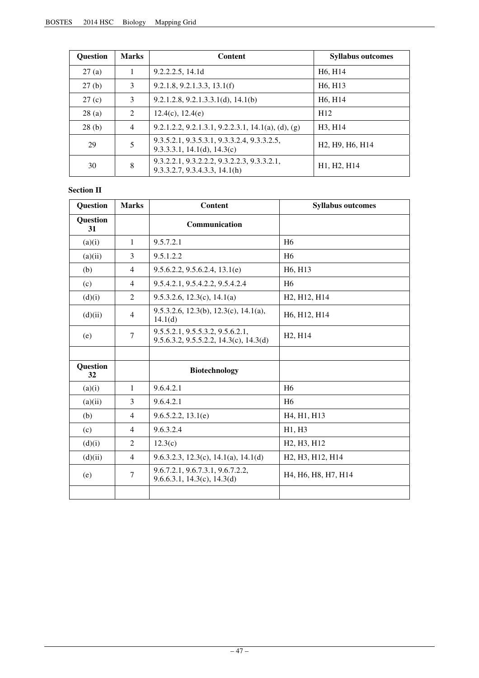| Question | <b>Marks</b> | <b>Content</b>                                                               | <b>Syllabus outcomes</b>                                           |
|----------|--------------|------------------------------------------------------------------------------|--------------------------------------------------------------------|
| 27(a)    |              | 9.2.2.2.5, 14.1d                                                             | H <sub>6</sub> , H <sub>14</sub>                                   |
| 27(b)    | 3            | 9.2.1.8, 9.2.1.3.3, 13.1(f)                                                  | H <sub>6</sub> , H <sub>13</sub>                                   |
| 27(c)    | 3            | 9.2.1.2.8, 9.2.1.3.3.1(d), 14.1(b)                                           | H <sub>6</sub> . H <sub>14</sub>                                   |
| 28(a)    | 2            | $12.4(c)$ , $12.4(e)$                                                        | H12                                                                |
| 28(b)    | 4            | 9.2.1.2.2, 9.2.1.3.1, 9.2.2.3.1, 14.1(a), (d), (g)                           | H3. H14                                                            |
| 29       | 5            | 9.3.5.2.1, 9.3.5.3.1, 9.3.3.2.4, 9.3.3.2.5,<br>9.3.3.3.1, 14.1(d), 14.3(c)   | H <sub>2</sub> , H <sub>9</sub> , H <sub>6</sub> , H <sub>14</sub> |
| 30       | 8            | 9.3.2.2.1, 9.3.2.2.2, 9.3.2.2.3, 9.3.3.2.1,<br>9.3.3.2.7, 9.3.4.3.3, 14.1(h) | H1, H2, H14                                                        |

#### **Section II**

|                | Communication                                                                         |                                                                                     |
|----------------|---------------------------------------------------------------------------------------|-------------------------------------------------------------------------------------|
|                |                                                                                       |                                                                                     |
| $\mathbf{1}$   | 9.5.7.2.1                                                                             | H <sub>6</sub>                                                                      |
| 3              | 9.5.1.2.2                                                                             | H <sub>6</sub>                                                                      |
| $\overline{4}$ | 9.5.6.2.2, 9.5.6.2.4, 13.1(e)                                                         | H6, H13                                                                             |
| $\overline{4}$ | 9.5.4.2.1, 9.5.4.2.2, 9.5.4.2.4                                                       | H <sub>6</sub>                                                                      |
| $\overline{2}$ | 9.5.3.2.6, 12.3(c), 14.1(a)                                                           | H <sub>2</sub> , H <sub>12</sub> , H <sub>14</sub>                                  |
| 4              | 9.5.3.2.6, 12.3(b), 12.3(c), 14.1(a),<br>14.1(d)                                      | H6, H12, H14                                                                        |
| $\tau$         | 9.5.5.2.1, 9.5.5.3.2, 9.5.6.2.1,<br>$9.5.6.3.2$ , $9.5.5.2.2$ , $14.3(c)$ , $14.3(d)$ | H <sub>2</sub> , H <sub>14</sub>                                                    |
|                |                                                                                       |                                                                                     |
|                | <b>Biotechnology</b>                                                                  |                                                                                     |
| $\mathbf{1}$   | 9.6.4.2.1                                                                             | H <sub>6</sub>                                                                      |
| 3              | 9.6.4.2.1                                                                             | H <sub>6</sub>                                                                      |
| $\overline{4}$ | 9.6.5.2.2, 13.1(e)                                                                    | H4, H1, H13                                                                         |
| $\overline{4}$ | 9.6.3.2.4                                                                             | H1, H3                                                                              |
| 2              | 12.3(c)                                                                               | H <sub>2</sub> , H <sub>3</sub> , H <sub>12</sub>                                   |
| $\overline{4}$ | 9.6.3.2.3, 12.3(c), 14.1(a), 14.1(d)                                                  | H <sub>2</sub> , H <sub>3</sub> , H <sub>12</sub> , H <sub>14</sub>                 |
| $\overline{7}$ | 9.6.7.2.1, 9.6.7.3.1, 9.6.7.2.2,<br>9.6.6.3.1, 14.3(c), 14.3(d)                       | H <sub>4</sub> , H <sub>6</sub> , H <sub>8</sub> , H <sub>7</sub> , H <sub>14</sub> |
|                |                                                                                       |                                                                                     |